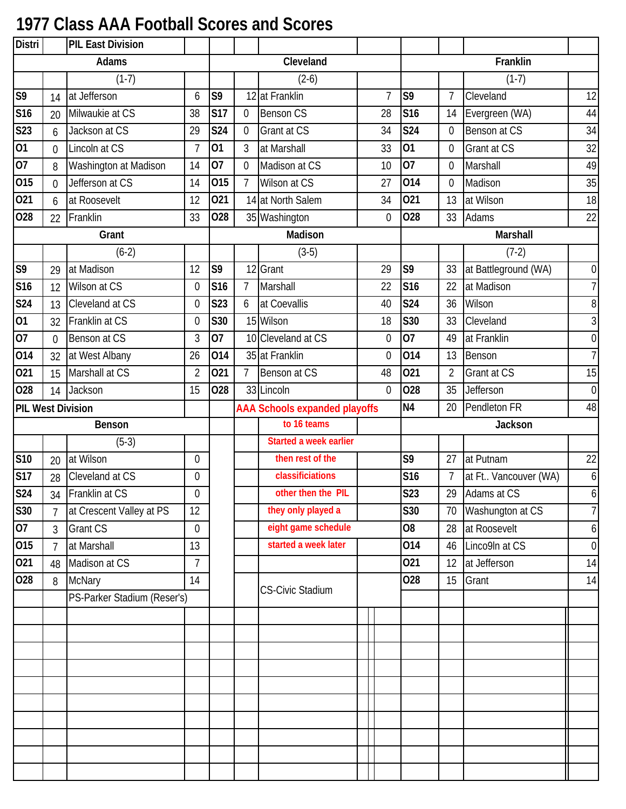## **1977 Class AAA Football Scores and Scores**

| <b>Distri</b>            | <b>PIL East Division</b>           |                             |                |            |                |                                      |                  |                 |                 |                      |                  |
|--------------------------|------------------------------------|-----------------------------|----------------|------------|----------------|--------------------------------------|------------------|-----------------|-----------------|----------------------|------------------|
|                          |                                    | Adams                       |                |            |                | Cleveland                            |                  |                 |                 | Franklin             |                  |
|                          |                                    | $(1-7)$                     |                |            |                | $(2-6)$                              |                  |                 |                 | $(1-7)$              |                  |
| S <sub>9</sub>           | 14                                 | at Jefferson                | 6              | S9         |                | 12 at Franklin                       | $\overline{7}$   | S <sub>9</sub>  | $\overline{7}$  | Cleveland            | 12               |
| S16                      | 20                                 | Milwaukie at CS             | 38             | <b>S17</b> | 0              | <b>Benson CS</b>                     | 28               | S <sub>16</sub> | 14              | Evergreen (WA)       | 44               |
| S23                      | 6                                  | Jackson at CS               | 29             | <b>S24</b> | $\overline{0}$ | Grant at CS                          | 34               | <b>S24</b>      | $\overline{0}$  | Benson at CS         | 34               |
| 01                       | $\overline{0}$                     | Lincoln at CS               | $\overline{7}$ | 01         | 3              | at Marshall                          | 33               | 01              | 0               | Grant at CS          | 32               |
| $\overline{07}$          | 8                                  | Washington at Madison       | 14             | 07         | 0              | Madison at CS                        | 10               | 07              | $\overline{0}$  | Marshall             | 49               |
| 015                      | $\overline{0}$                     | Jefferson at CS             | 14             | 015        | $\overline{7}$ | Wilson at CS                         | 27               | 014             | $\overline{0}$  | Madison              | 35               |
| 021                      | 6                                  | at Roosevelt                | 12             | 021        |                | 14 at North Salem                    | 34               | 021             | 13              | at Wilson            | 18               |
| 028                      | 22                                 | Franklin                    | 33             | 028        |                | 35 Washington                        | $\overline{0}$   | 028             | 33              | Adams                | 22               |
|                          |                                    | Grant                       |                |            |                | Madison                              |                  |                 |                 | Marshall             |                  |
|                          |                                    | $(6-2)$                     |                |            |                | $(3-5)$                              |                  |                 |                 | $(7-2)$              |                  |
| $\overline{\mathsf{S}}9$ | 29                                 | at Madison                  | 12             | S9         | 12             | Grant                                | 29               | S9              | 33              | at Battleground (WA) | $\overline{0}$   |
| S <sub>16</sub>          | 12                                 | Wilson at CS                | $\overline{0}$ | S16        | $\overline{7}$ | Marshall                             | 22               | <b>S16</b>      | 22              | at Madison           | $\overline{7}$   |
| S24                      | 13                                 | Cleveland at CS             | $\overline{0}$ | <b>S23</b> | 6              | at Coevallis                         | 40               | <b>S24</b>      | 36              | Wilson               | 8                |
| 01                       | 32                                 | Franklin at CS              | $\overline{0}$ | S30        |                | 15 Wilson                            | 18               | <b>S30</b>      | 33              | Cleveland            | 3                |
| 07                       | $\theta$                           | Benson at CS                | 3              | 07         |                | 10 Cleveland at CS                   | $\boldsymbol{0}$ | 07              | 49              | at Franklin          | $\boldsymbol{0}$ |
| 014                      | 32                                 | at West Albany              | 26             | 014        |                | 35 at Franklin                       | $\overline{0}$   | 014             | 13              | Benson               | $\overline{7}$   |
| 021                      | 15                                 | Marshall at CS              | $\overline{2}$ | 021        | $\overline{7}$ | Benson at CS                         | 48               | 021             | $\overline{2}$  | Grant at CS          | 15               |
| 028                      | 14                                 | Jackson                     | 15             | 028        |                | 33 Lincoln                           | $\overline{0}$   | 028             | 35              | Jefferson            | $\boldsymbol{0}$ |
|                          |                                    |                             |                |            |                | <b>AAA Schools expanded playoffs</b> |                  | <b>N4</b>       | 20              | Pendleton FR         | 48               |
|                          | <b>PIL West Division</b><br>Benson |                             |                |            |                | to 16 teams                          |                  |                 |                 | Jackson              |                  |
|                          |                                    | $(5-3)$                     |                |            |                | <b>Started a week earlier</b>        |                  |                 |                 |                      |                  |
| <b>S10</b>               | 20                                 | at Wilson                   | $\overline{0}$ |            |                | then rest of the                     |                  | S9              | 27              | at Putnam            | 22               |
| <b>S17</b>               | 28                                 | Cleveland at CS             | $\mathbf 0$    |            |                | classificiations                     |                  | <b>S16</b>      | $7\overline{ }$ | at Ft Vancouver (WA) | $\boldsymbol{6}$ |
| <b>S24</b>               | 34                                 | Franklin at CS              | $\Omega$       |            |                | other then the PIL                   |                  | <b>S23</b>      | 29              | Adams at CS          | $\overline{6}$   |
| $\overline{\text{S}}30$  | $\overline{7}$                     | at Crescent Valley at PS    | 12             |            |                | they only played a                   |                  | S30             | 70              | Washungton at CS     | $\overline{7}$   |
| 07                       | 3                                  | <b>Grant CS</b>             | $\overline{0}$ |            |                | eight game schedule                  |                  | O <sub>8</sub>  | 28              | at Roosevelt         | $\boldsymbol{6}$ |
| 015                      | $\overline{7}$                     | at Marshall                 | 13             |            |                | started a week later                 |                  | 014             | 46              | Linco9In at CS       | $\boldsymbol{0}$ |
| 021                      | 48                                 | Madison at CS               | $\overline{7}$ |            |                |                                      |                  | 021             | 12              | at Jefferson         | 14               |
| 028                      | 8                                  | <b>McNary</b>               | 14             |            |                |                                      |                  | 028             | 15              | Grant                | 14               |
|                          |                                    | PS-Parker Stadium (Reser's) |                |            |                | <b>CS-Civic Stadium</b>              |                  |                 |                 |                      |                  |
|                          |                                    |                             |                |            |                |                                      |                  |                 |                 |                      |                  |
|                          |                                    |                             |                |            |                |                                      |                  |                 |                 |                      |                  |
|                          |                                    |                             |                |            |                |                                      |                  |                 |                 |                      |                  |
|                          |                                    |                             |                |            |                |                                      |                  |                 |                 |                      |                  |
|                          |                                    |                             |                |            |                |                                      |                  |                 |                 |                      |                  |
|                          |                                    |                             |                |            |                |                                      |                  |                 |                 |                      |                  |
|                          |                                    |                             |                |            |                |                                      |                  |                 |                 |                      |                  |
|                          |                                    |                             |                |            |                |                                      |                  |                 |                 |                      |                  |
|                          |                                    |                             |                |            |                |                                      |                  |                 |                 |                      |                  |
|                          |                                    |                             |                |            |                |                                      |                  |                 |                 |                      |                  |
|                          |                                    |                             |                |            |                |                                      |                  |                 |                 |                      |                  |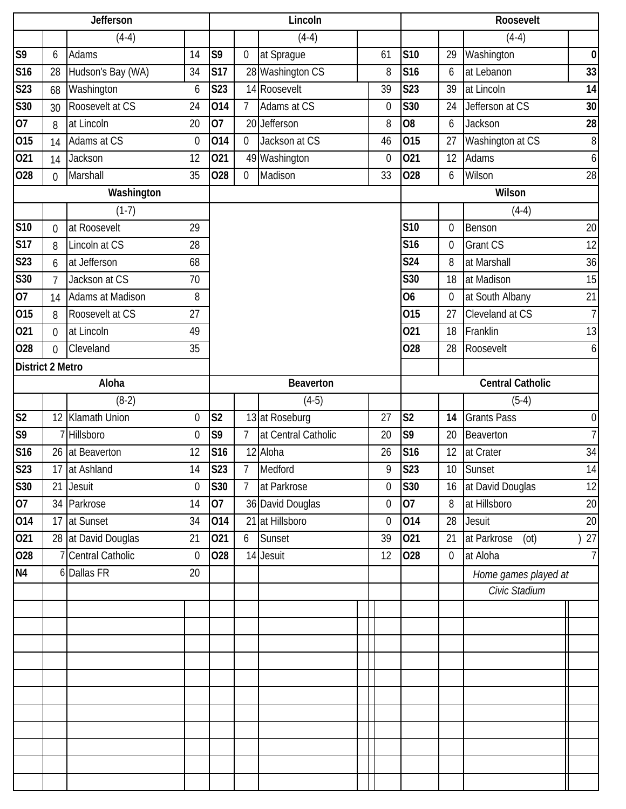|                         |                | Jefferson            |                |                |                | Lincoln             |    |                 |                | Roosevelt               |                |
|-------------------------|----------------|----------------------|----------------|----------------|----------------|---------------------|----|-----------------|----------------|-------------------------|----------------|
|                         |                | $(4-4)$              |                |                |                | $(4-4)$             |    |                 |                | $(4-4)$                 |                |
| S <sub>9</sub>          | 6              | Adams                | 14             | S9             | $\mathbf 0$    | at Sprague          | 61 | <b>S10</b>      | 29             | Washington              | $\pmb{0}$      |
| <b>S16</b>              | 28             | Hudson's Bay (WA)    | 34             | <b>S17</b>     |                | 28 Washington CS    | 8  | <b>S16</b>      | 6              | at Lebanon              | 33             |
| <b>S23</b>              | 68             | Washington           | 6              | S23            |                | 14 Roosevelt        | 39 | <b>S23</b>      | 39             | at Lincoln              | 14             |
| <b>S30</b>              | 30             | Roosevelt at CS      | 24             | 014            | $\overline{7}$ | Adams at CS         | 0  | <b>S30</b>      | 24             | Jefferson at CS         | 30             |
| 07                      | 8              | at Lincoln           | 20             | 07             |                | 20 Jefferson        | 8  | O <sub>8</sub>  | 6              | Jackson                 | 28             |
| 015                     | 14             | Adams at CS          | $\mathbf 0$    | 014            | $\mathbf 0$    | Jackson at CS       | 46 | 015             | 27             | Washington at CS        | $\, 8$         |
| 021                     | 14             | Jackson              | 12             | 021            |                | 49 Washington       | 0  | 021             | 12             | Adams                   | $6 \mid$       |
| 028                     | $\Omega$       | Marshall             | 35             | 028            | $\mathbf 0$    | Madison             | 33 | 028             | 6              | Wilson                  | 28             |
|                         |                | Washington           |                |                |                |                     |    |                 |                | Wilson                  |                |
|                         |                | $(1-7)$              |                |                |                |                     |    |                 |                | $(4-4)$                 |                |
| <b>S10</b>              | $\overline{0}$ | at Roosevelt         | 29             |                |                |                     |    | <b>S10</b>      | 0              | Benson                  | 20             |
| <b>S17</b>              | 8              | Lincoln at CS        | 28             |                |                |                     |    | S <sub>16</sub> | 0              | Grant CS                | 12             |
| S <sub>23</sub>         | 6              | at Jefferson         | 68             |                |                |                     |    | S24             | 8              | at Marshall             | 36             |
| <b>S30</b>              | 7              | Jackson at CS        | 70             |                |                |                     |    | S30             | 18             | at Madison              | 15             |
| 07                      | 14             | Adams at Madison     | 8              |                |                |                     |    | 06              | 0              | at South Albany         | 21             |
| 015                     | 8              | Roosevelt at CS      | 27             |                |                |                     |    | 015             | 27             | Cleveland at CS         | $\overline{7}$ |
| 021                     | $\overline{0}$ | at Lincoln           | 49             |                |                |                     |    | 021             | 18             | Franklin                | 13             |
| 028                     | $\overline{0}$ | Cleveland            | 35             |                |                |                     |    | 028             | 28             | Roosevelt               | 6 <sup>1</sup> |
| <b>District 2 Metro</b> |                |                      |                |                |                |                     |    |                 |                |                         |                |
|                         |                | Aloha                |                |                |                | Beaverton           |    |                 |                | <b>Central Catholic</b> |                |
|                         |                | $(8-2)$              |                |                |                | $(4-5)$             |    |                 |                | $(5-4)$                 |                |
| S <sub>2</sub>          | 12             | <b>Klamath Union</b> | $\mathbf 0$    | S <sub>2</sub> |                | 13 at Roseburg      | 27 | S <sub>2</sub>  | 14             | <b>Grants Pass</b>      | $\overline{0}$ |
| S <sub>9</sub>          |                | Hillsboro            | $\overline{0}$ | S9             | $\overline{7}$ | at Central Catholic | 20 | S9              | 20             | <b>Beaverton</b>        | $\overline{7}$ |
| S16                     |                | 26 at Beaverton      | 12             | S16            |                | 12 Aloha            | 26 | <b>S16</b>      | 12             | at Crater               | 34             |
| S23                     |                | 17 at Ashland        | 14             | S23            | $\overline{7}$ | Medford             | g  | <b>S23</b>      |                | 10 Sunset               | 14             |
| S30                     | 21             | Jesuit               | $\theta$       | S30            | $\overline{7}$ | at Parkrose         | 0  | S30             |                | 16 at David Douglas     | 12             |
| 07                      |                | 34 Parkrose          | 14             | 07             |                | 36 David Douglas    | 0  | 07              | 8              | at Hillsboro            | 20             |
| 014                     | 17             | at Sunset            | 34             | 014            |                | 21 at Hillsboro     | 0  | 014             | 28             | Jesuit                  | 20             |
| 021                     |                | 28 at David Douglas  | 21             | 021            | 6              | Sunset              | 39 | 021             | 21             | at Parkrose<br>(ot)     | 27             |
| 028                     |                | 7 Central Catholic   | $\overline{0}$ | 028            |                | 14 Jesuit           | 12 | 028             | $\overline{0}$ | at Aloha                | 7              |
| N <sub>4</sub>          |                | 6 Dallas FR          | 20             |                |                |                     |    |                 |                | Home games played at    |                |
|                         |                |                      |                |                |                |                     |    |                 |                | Civic Stadium           |                |
|                         |                |                      |                |                |                |                     |    |                 |                |                         |                |
|                         |                |                      |                |                |                |                     |    |                 |                |                         |                |
|                         |                |                      |                |                |                |                     |    |                 |                |                         |                |
|                         |                |                      |                |                |                |                     |    |                 |                |                         |                |
|                         |                |                      |                |                |                |                     |    |                 |                |                         |                |
|                         |                |                      |                |                |                |                     |    |                 |                |                         |                |
|                         |                |                      |                |                |                |                     |    |                 |                |                         |                |
|                         |                |                      |                |                |                |                     |    |                 |                |                         |                |
|                         |                |                      |                |                |                |                     |    |                 |                |                         |                |
|                         |                |                      |                |                |                |                     |    |                 |                |                         |                |
|                         |                |                      |                |                |                |                     |    |                 |                |                         |                |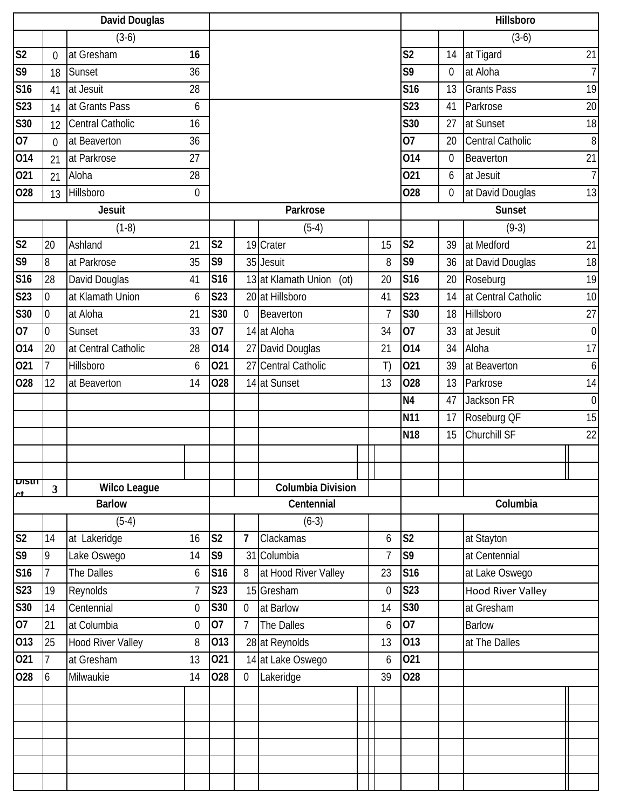|                            |                  | <b>David Douglas</b>     |             |                |                |                             |                |                 |             | Hillsboro                |                  |
|----------------------------|------------------|--------------------------|-------------|----------------|----------------|-----------------------------|----------------|-----------------|-------------|--------------------------|------------------|
|                            |                  | $(3-6)$                  |             |                |                |                             |                |                 |             | $(3-6)$                  |                  |
| S <sub>2</sub>             | $\theta$         | at Gresham               | 16          |                |                |                             |                | S <sub>2</sub>  | 14          | at Tigard                | 21               |
| S9                         | 18               | Sunset                   | 36          |                |                |                             |                | S9              | 0           | at Aloha                 | $\overline{7}$   |
| S16                        | 41               | at Jesuit                | 28          |                |                |                             |                | <b>S16</b>      | 13          | <b>Grants Pass</b>       | 19               |
| <b>S23</b>                 | 14               | at Grants Pass           | 6           |                |                |                             |                | <b>S23</b>      | 41          | Parkrose                 | 20               |
| S30                        | 12               | Central Catholic         | 16          |                |                |                             |                | S30             | 27          | at Sunset                | 18               |
| 07                         | $\theta$         | at Beaverton             | 36          |                |                |                             |                | $\overline{07}$ | 20          | <b>Central Catholic</b>  | $\overline{8}$   |
| 014                        | 21               | at Parkrose              | 27          |                |                |                             |                | 014             | $\mathbf 0$ | Beaverton                | 21               |
| 021                        | 21               | Aloha                    | 28          |                |                |                             |                | 021             | 6           | at Jesuit                | $\overline{7}$   |
| 028                        | 13               | Hillsboro                | $\mathbf 0$ |                |                |                             |                | 028             | 0           | at David Douglas         | 13               |
|                            |                  | <b>Jesuit</b>            |             |                |                | Parkrose                    |                |                 |             | Sunset                   |                  |
|                            |                  | $(1-8)$                  |             |                |                | $(5-4)$                     |                |                 |             | $(9-3)$                  |                  |
| S <sub>2</sub>             | 20               | Ashland                  | 21          | S <sub>2</sub> |                | 19 Crater                   | 15             | S <sub>2</sub>  | 39          | at Medford               | 21               |
| S <sub>9</sub>             | 8                | at Parkrose              | 35          | S <sub>9</sub> |                | 35 Jesuit                   | 8              | S9              | 36          | at David Douglas         | 18               |
| S16                        | 28               | David Douglas            | 41          | <b>S16</b>     |                | 13 at Klamath Union<br>(ot) | 20             | <b>S16</b>      | 20          | Roseburg                 | 19               |
| S23                        | $\boldsymbol{0}$ | at Klamath Union         | 6           | S23            |                | 20 at Hillsboro             | 41             | <b>S23</b>      | 14          | at Central Catholic      | 10               |
| <b>S30</b>                 | $\overline{0}$   | at Aloha                 | 21          | S30            | $\overline{0}$ | Beaverton                   | 7              | S30             | 18          | Hillsboro                | 27               |
| 07                         | $\overline{0}$   | Sunset                   | 33          | 07             |                | 14 at Aloha                 | 34             | 07              | 33          | at Jesuit                | $\overline{0}$   |
| 014                        | 20               | at Central Catholic      | 28          | 014            |                | 27 David Douglas            | 21             | 014             | 34          | Aloha                    | 17               |
| 021                        | $\overline{7}$   | Hillsboro                | 6           | 021            |                | 27 Central Catholic         | T)             | 021             | 39          | at Beaverton             | $\boldsymbol{6}$ |
| 028                        | 12               | at Beaverton             | 14          | 028            |                | 14 at Sunset                | 13             | 028             | 13          | Parkrose                 | 14               |
|                            |                  |                          |             |                |                |                             |                | N <sub>4</sub>  | 47          | Jackson FR               | $\mathbf 0$      |
|                            |                  |                          |             |                |                |                             |                | <b>N11</b>      | 17          | Roseburg QF              | 15               |
|                            |                  |                          |             |                |                |                             |                | <b>N18</b>      | 15          | Churchill SF             | 22               |
|                            |                  |                          |             |                |                |                             |                |                 |             |                          |                  |
|                            |                  |                          |             |                |                |                             |                |                 |             |                          | Ш                |
| <b>DISIII</b><br><u>rt</u> | $\mathbf{3}$     | <b>Wilco League</b>      |             |                |                | <b>Columbia Division</b>    |                |                 |             |                          |                  |
|                            |                  | <b>Barlow</b>            |             |                |                | Centennial                  |                |                 |             | Columbia                 |                  |
|                            |                  | $(5-4)$                  |             |                |                | $(6-3)$                     |                |                 |             |                          |                  |
| S <sub>2</sub>             | 14               | at Lakeridge             | 16          | S <sub>2</sub> | $\overline{7}$ | Clackamas                   | 6              | S <sub>2</sub>  |             | at Stayton               |                  |
| S9                         | 9                | Lake Oswego              | 14          | S9             | 31             | Columbia                    | 7              | S9              |             | at Centennial            |                  |
| <b>S16</b>                 | $\overline{7}$   | The Dalles               | 6           | <b>S16</b>     | 8              | at Hood River Valley        | 23             | <b>S16</b>      |             | at Lake Oswego           |                  |
| <b>S23</b>                 | 19               | Reynolds                 | 7           | S23            |                | 15 Gresham                  | $\overline{0}$ | <b>S23</b>      |             | <b>Hood River Valley</b> |                  |
| S30                        | 14               | Centennial               | $\mathbf 0$ | S30            | $\overline{0}$ | at Barlow                   | 14             | <b>S30</b>      |             | at Gresham               |                  |
| 07                         | 21               | at Columbia              | $\mathbf 0$ | 07             | $\overline{7}$ | The Dalles                  | 6              | $\overline{07}$ |             | <b>Barlow</b>            |                  |
| 013                        | 25               | <b>Hood River Valley</b> | 8           | 013            |                | 28 at Reynolds              | 13             | 013             |             | at The Dalles            |                  |
| 021                        | $\overline{7}$   | at Gresham               | 13          | 021            |                | 14 at Lake Oswego           | 6              | 021             |             |                          |                  |
| 028                        | 6                | Milwaukie                | 14          | 028            | $\mathbf 0$    | Lakeridge                   | 39             | 028             |             |                          |                  |
|                            |                  |                          |             |                |                |                             |                |                 |             |                          |                  |
|                            |                  |                          |             |                |                |                             |                |                 |             |                          |                  |
|                            |                  |                          |             |                |                |                             |                |                 |             |                          |                  |
|                            |                  |                          |             |                |                |                             |                |                 |             |                          |                  |
|                            |                  |                          |             |                |                |                             |                |                 |             |                          |                  |
|                            |                  |                          |             |                |                |                             |                |                 |             |                          |                  |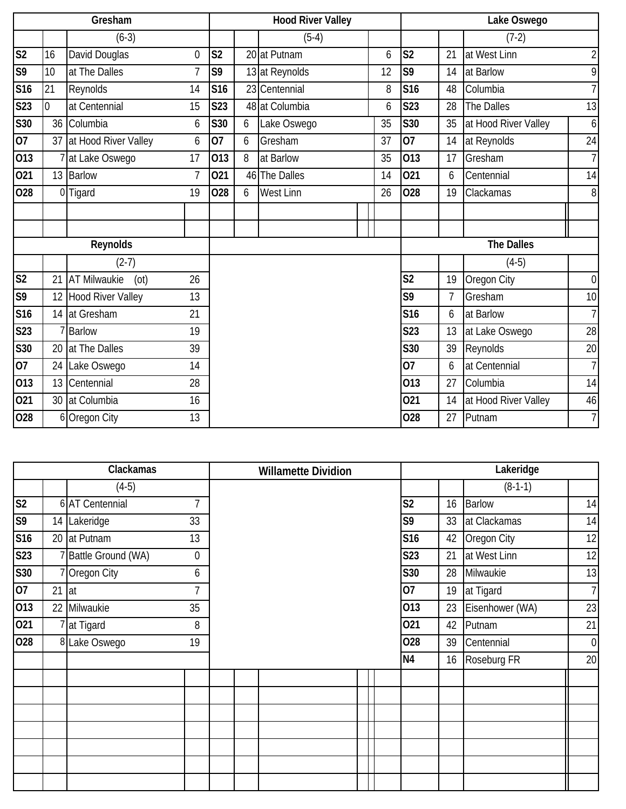|                 |                | Gresham                     |                |                |    | <b>Hood River Valley</b> |    |                 |                | Lake Oswego          |                  |
|-----------------|----------------|-----------------------------|----------------|----------------|----|--------------------------|----|-----------------|----------------|----------------------|------------------|
|                 |                | $(6-3)$                     |                |                |    | $(5-4)$                  |    |                 |                | $(7-2)$              |                  |
| S <sub>2</sub>  | 16             | David Douglas               | $\overline{0}$ | S <sub>2</sub> |    | 20 at Putnam             | 6  | S <sub>2</sub>  | 21             | at West Linn         | $\overline{2}$   |
| S <sub>9</sub>  | 10             | at The Dalles               | $\overline{7}$ | S9             |    | 13 at Reynolds           | 12 | S9              | 14             | at Barlow            | 9                |
| S <sub>16</sub> | 21             | Reynolds                    | 14             | S16            |    | 23 Centennial            | 8  | <b>S16</b>      | 48             | Columbia             | $\overline{7}$   |
| S23             | $\overline{0}$ | at Centennial               | 15             | S23            |    | 48 at Columbia           | 6  | <b>S23</b>      | 28             | The Dalles           | 13               |
| <b>S30</b>      |                | 36 Columbia                 | 6              | S30            | 6  | Lake Oswego              | 35 | S30             | 35             | at Hood River Valley | $\boldsymbol{6}$ |
| $\overline{07}$ | 37             | at Hood River Valley        | 6              | 07             | 6  | Gresham                  | 37 | $\overline{07}$ | 14             | at Reynolds          | 24               |
| 013             |                | at Lake Oswego              | 17             | 013            | 8  | at Barlow                | 35 | 013             | 17             | Gresham              | $\overline{7}$   |
| 021             |                | 13 Barlow                   | 7              | 021            | 46 | The Dalles               | 14 | 021             | 6              | Centennial           | 14               |
| 028             |                | 0 Tigard                    | 19             | 028            | 6  | West Linn                | 26 | 028             | 19             | Clackamas            | $8\,$            |
|                 |                |                             |                |                |    |                          |    |                 |                |                      |                  |
|                 |                |                             |                |                |    |                          |    |                 |                |                      |                  |
|                 |                | Reynolds                    |                |                |    |                          |    |                 |                | <b>The Dalles</b>    |                  |
|                 |                | $(2-7)$                     |                |                |    |                          |    |                 |                | $(4-5)$              |                  |
| S <sub>2</sub>  | 21             | <b>AT Milwaukie</b><br>(ot) | 26             |                |    |                          |    | S <sub>2</sub>  | 19             | Oregon City          | $\boldsymbol{0}$ |
| S <sub>9</sub>  | 12             | Hood River Valley           | 13             |                |    |                          |    | S9              | $\overline{7}$ | Gresham              | 10               |
| S16             | 14             | at Gresham                  | 21             |                |    |                          |    | S <sub>16</sub> | 6              | at Barlow            | $\overline{7}$   |
| S23             |                | 7 Barlow                    | 19             |                |    |                          |    | S <sub>23</sub> | 13             | at Lake Oswego       | 28               |
| <b>S30</b>      |                | 20 at The Dalles            | 39             |                |    |                          |    | S30             | 39             | Reynolds             | 20               |
| 07              | 24             | Lake Oswego                 | 14             |                |    |                          |    | 07              | 6              | at Centennial        | $\overline{7}$   |
| 013             | 13             | Centennial                  | 28             |                |    |                          |    | 013             | 27             | Columbia             | 14               |
| 021             |                | 30 at Columbia              | 16             |                |    |                          |    | 021             | 14             | at Hood River Valley | 46               |
| 028             |                | 6 Oregon City               | 13             |                |    |                          |    | 028             | 27             | Putnam               | $\overline{7}$   |

|                        |    | Clackamas                 |             |  | <b>Willamette Dividion</b> |  |                |    | Lakeridge       |                  |
|------------------------|----|---------------------------|-------------|--|----------------------------|--|----------------|----|-----------------|------------------|
|                        |    | $(4-5)$                   |             |  |                            |  |                |    | $(8-1-1)$       |                  |
| $\overline{\text{S2}}$ |    | 6 AT Centennial           | 7           |  |                            |  | S <sub>2</sub> | 16 | <b>Barlow</b>   | 14               |
| S <sub>9</sub>         |    | 14 Lakeridge              | 33          |  |                            |  | S9             | 33 | at Clackamas    | 14               |
| S16                    |    | 20 at Putnam              | 13          |  |                            |  | S16            | 42 | Oregon City     | 12               |
| S <sub>23</sub>        |    | <b>Battle Ground (WA)</b> | $\mathbf 0$ |  |                            |  | <b>S23</b>     | 21 | at West Linn    | 12               |
| S30                    |    | 7 Oregon City             | 6           |  |                            |  | <b>S30</b>     | 28 | Milwaukie       | 13               |
| 07                     | 21 | at                        | 7           |  |                            |  | 07             | 19 | at Tigard       | $\overline{7}$   |
| 013                    | 22 | Milwaukie                 | 35          |  |                            |  | 013            | 23 | Eisenhower (WA) | 23               |
| 021                    |    | 7 at Tigard               | 8           |  |                            |  | 021            | 42 | Putnam          | 21               |
| 028                    |    | 8 Lake Oswego             | 19          |  |                            |  | 028            | 39 | Centennial      | $\boldsymbol{0}$ |
|                        |    |                           |             |  |                            |  | N <sub>4</sub> | 16 | Roseburg FR     | 20               |
|                        |    |                           |             |  |                            |  |                |    |                 |                  |
|                        |    |                           |             |  |                            |  |                |    |                 |                  |
|                        |    |                           |             |  |                            |  |                |    |                 |                  |
|                        |    |                           |             |  |                            |  |                |    |                 |                  |
|                        |    |                           |             |  |                            |  |                |    |                 |                  |
|                        |    |                           |             |  |                            |  |                |    |                 |                  |
|                        |    |                           |             |  |                            |  |                |    |                 |                  |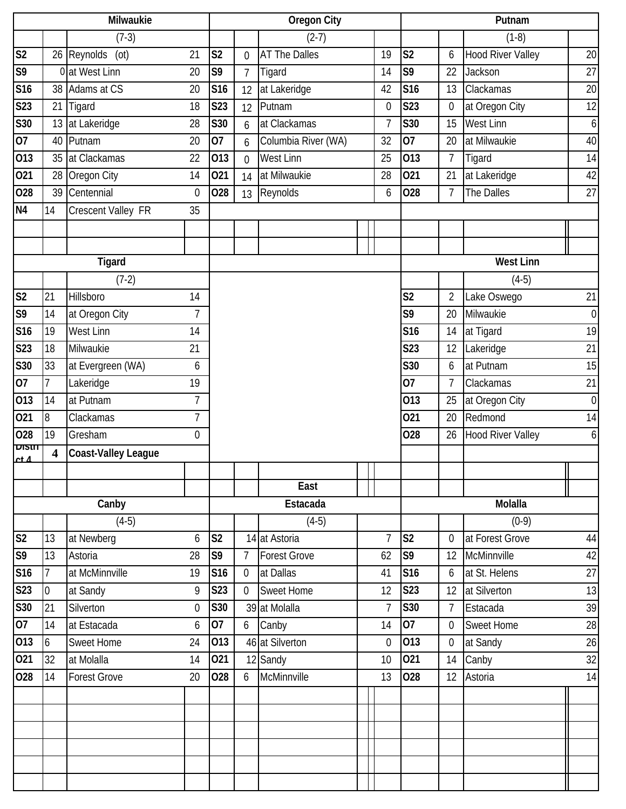|                                 |                         | <b>Milwaukie</b>           |                  |                 |                 | <b>Oregon City</b>   |                |                 |                | Putnam                   |                  |
|---------------------------------|-------------------------|----------------------------|------------------|-----------------|-----------------|----------------------|----------------|-----------------|----------------|--------------------------|------------------|
|                                 |                         | $(7-3)$                    |                  |                 |                 | $(2-7)$              |                |                 |                | $(1-8)$                  |                  |
| S <sub>2</sub>                  |                         | 26 Reynolds<br>(ot)        | 21               | S <sub>2</sub>  | 0               | <b>AT The Dalles</b> | 19             | S <sub>2</sub>  | 6              | <b>Hood River Valley</b> | 20               |
| S <sub>9</sub>                  |                         | 0 at West Linn             | 20               | S9              | $\overline{7}$  | Tigard               | 14             | S <sub>9</sub>  | 22             | Jackson                  | 27               |
| S16                             |                         | 38 Adams at CS             | 20               | S16             | 12              | at Lakeridge         | 42             | S <sub>16</sub> | 13             | Clackamas                | 20               |
| <b>S23</b>                      | 21                      | Tigard                     | 18               | S23             | 12              | Putnam               | 0              | <b>S23</b>      | $\overline{0}$ | at Oregon City           | 12               |
| S30                             | 13                      | at Lakeridge               | 28               | S30             | 6               | at Clackamas         | $\overline{7}$ | <b>S30</b>      | 15             | <b>West Linn</b>         | 6                |
| 07                              |                         | 40 Putnam                  | 20               | 07              | 6               | Columbia River (WA)  | 32             | $\overline{07}$ | 20             | at Milwaukie             | 40               |
| 013                             | 35                      | at Clackamas               | 22               | 013             | $\mathbf 0$     | <b>West Linn</b>     | 25             | 013             | $\overline{7}$ | Tigard                   | 14               |
| 021                             | 28                      | Oregon City                | 14               | 021             | 14              | at Milwaukie         | 28             | 021             | 21             | at Lakeridge             | 42               |
| 028                             | 39                      | Centennial                 | $\mathbf{0}$     | 028             | 13              | Reynolds             | 6              | 028             | $\overline{7}$ | The Dalles               | 27               |
| N4                              | 14                      | Crescent Valley FR         | 35               |                 |                 |                      |                |                 |                |                          |                  |
|                                 |                         |                            |                  |                 |                 |                      |                |                 |                |                          |                  |
|                                 |                         |                            |                  |                 |                 |                      |                |                 |                |                          |                  |
|                                 |                         | Tigard                     |                  |                 |                 |                      |                |                 |                | <b>West Linn</b>         |                  |
|                                 |                         | $(7-2)$                    |                  |                 |                 |                      |                |                 |                | $(4-5)$                  |                  |
| S <sub>2</sub>                  | 21                      | Hillsboro                  | 14               |                 |                 |                      |                | S <sub>2</sub>  | $\overline{2}$ | Lake Oswego              | 21               |
| S9                              | 14                      | at Oregon City             | $\overline{7}$   |                 |                 |                      |                | S9              | 20             | Milwaukie                | $\boldsymbol{0}$ |
| S16                             | 19                      | West Linn                  | 14               |                 |                 |                      |                | <b>S16</b>      | 14             | at Tigard                | 19               |
| <b>S23</b>                      | 18                      | Milwaukie                  | 21               |                 |                 |                      |                | <b>S23</b>      | 12             | Lakeridge                | 21               |
| S30                             | 33                      | at Evergreen (WA)          | 6                |                 |                 |                      |                | S30             | 6              | at Putnam                | 15               |
| 07                              | $\overline{1}$          | Lakeridge                  | 19               |                 |                 |                      |                | 07              | $\overline{7}$ | Clackamas                | 21               |
| 013                             | 14                      | at Putnam                  | 7                |                 |                 |                      |                | 013             | 25             | at Oregon City           | $\boldsymbol{0}$ |
| 021                             | 8                       | Clackamas                  | $\overline{7}$   |                 |                 |                      |                | 021             | 20             | Redmond                  | 14               |
| 028                             | 19                      | Gresham                    | $\mathbf 0$      |                 |                 |                      |                | 028             | 26             | <b>Hood River Valley</b> | 6                |
| <b>DISIN</b><br>ct <sub>1</sub> | $\overline{\mathbf{4}}$ | <b>Coast-Valley League</b> |                  |                 |                 |                      |                |                 |                |                          |                  |
|                                 |                         |                            |                  |                 |                 |                      |                |                 |                |                          |                  |
|                                 |                         |                            |                  |                 |                 | East                 |                |                 |                |                          |                  |
|                                 |                         | Canby                      |                  |                 |                 | Estacada             |                |                 |                | Molalla                  |                  |
|                                 |                         | $(4-5)$                    |                  |                 |                 | $(4-5)$              |                |                 |                | $(0-9)$                  |                  |
| S <sub>2</sub>                  | 13                      | at Newberg                 | 6                | S <sub>2</sub>  |                 | 14 at Astoria        | $\overline{7}$ | S <sub>2</sub>  | $\overline{0}$ | at Forest Grove          | 44               |
| S <sub>9</sub>                  | 13                      | Astoria                    | 28               | S9              | $\overline{7}$  | <b>Forest Grove</b>  | 62             | S9              | 12             | McMinnville              | 42               |
| <b>S16</b>                      | 7                       | at McMinnville             | 19               | S <sub>16</sub> | 0               | at Dallas            | 41             | S16             | 6              | at St. Helens            | 27               |
| S23                             | $\boldsymbol{0}$        | at Sandy                   | 9                | S23             | $\overline{0}$  | <b>Sweet Home</b>    | 12             | S23             | 12             | at Silverton             | 13               |
| S30                             | 21                      | Silverton                  | $\boldsymbol{0}$ | S30             |                 | 39 at Molalla        | $\overline{7}$ | S30             | 7              | Estacada                 | 39               |
| 07                              | 14                      | at Estacada                | 6                | 07              | $6\overline{6}$ | Canby                | 14             | 07              | $\overline{0}$ | <b>Sweet Home</b>        | 28               |
| 013                             | 6                       | Sweet Home                 | 24               | 013             |                 | 46 at Silverton      | $\mathbf 0$    | 013             | $\overline{0}$ | at Sandy                 | 26               |
| 021                             | 32                      | at Molalla                 | 14               | 021             |                 | 12 Sandy             | 10             | 021             | 14             | Canby                    | 32               |
| 028                             | 14                      | <b>Forest Grove</b>        | 20               | 028             | 6               | McMinnville          | 13             | 028             | 12             | Astoria                  | 14               |
|                                 |                         |                            |                  |                 |                 |                      |                |                 |                |                          |                  |
|                                 |                         |                            |                  |                 |                 |                      |                |                 |                |                          |                  |
|                                 |                         |                            |                  |                 |                 |                      |                |                 |                |                          |                  |
|                                 |                         |                            |                  |                 |                 |                      |                |                 |                |                          |                  |
|                                 |                         |                            |                  |                 |                 |                      |                |                 |                |                          |                  |
|                                 |                         |                            |                  |                 |                 |                      |                |                 |                |                          |                  |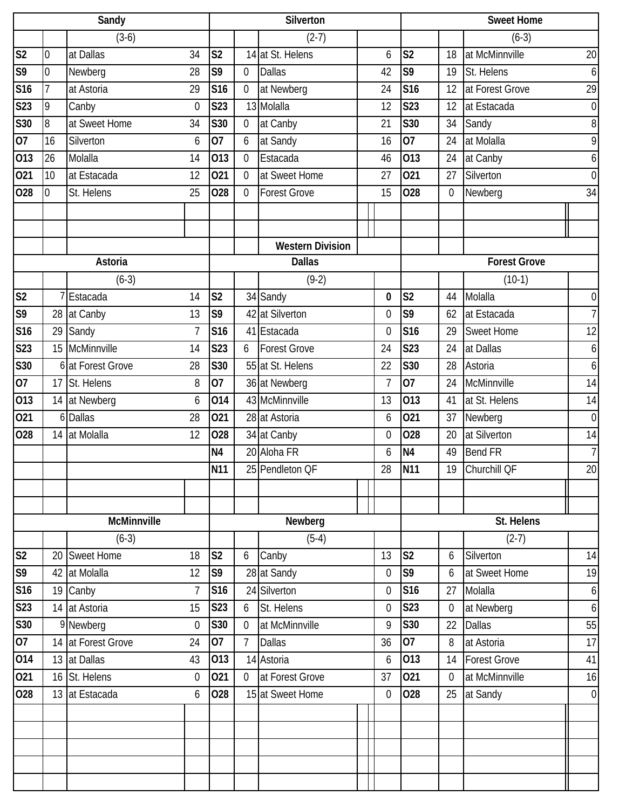|                        |                | Sandy              |                |                 |                | Silverton               |    |                 |                | <b>Sweet Home</b>   |                  |
|------------------------|----------------|--------------------|----------------|-----------------|----------------|-------------------------|----|-----------------|----------------|---------------------|------------------|
|                        |                | $(3-6)$            |                |                 |                | $(2-7)$                 |    |                 |                | $(6-3)$             |                  |
| $\overline{\text{S2}}$ | $\overline{0}$ | at Dallas          | 34             | S <sub>2</sub>  |                | 14 at St. Helens        | 6  | S <sub>2</sub>  | 18             | at McMinnville      | 20               |
| S <sub>9</sub>         | $\overline{0}$ | Newberg            | 28             | S9              | $\overline{0}$ | <b>Dallas</b>           | 42 | S <sub>9</sub>  | 19             | St. Helens          | $\boldsymbol{6}$ |
| <b>S16</b>             | $\overline{1}$ | at Astoria         | 29             | S16             | 0              | at Newberg              | 24 | S16             | 12             | at Forest Grove     | 29               |
| S23                    | 9              | Canby              | $\mathbf{0}$   | <b>S23</b>      |                | 13 Molalla              | 12 | S23             | 12             | at Estacada         | $\boldsymbol{0}$ |
| S30                    | 8              | at Sweet Home      | 34             | <b>S30</b>      | $\overline{0}$ | at Canby                | 21 | S30             | 34             | Sandy               | $\, 8$           |
| 07                     | 16             | Silverton          | 6              | 07              | 6              | at Sandy                | 16 | 07              | 24             | at Molalla          | 9                |
| 013                    | 26             | Molalla            | 14             | 013             | 0              | Estacada                | 46 | 013             | 24             | at Canby            | 6                |
| 021                    | 10             | at Estacada        | 12             | 021             | 0              | at Sweet Home           | 27 | 021             | 27             | Silverton           | $\boldsymbol{0}$ |
| 028                    | $\overline{0}$ | St. Helens         | 25             | 028             | 0              | <b>Forest Grove</b>     | 15 | 028             | $\overline{0}$ | Newberg             | 34               |
|                        |                |                    |                |                 |                |                         |    |                 |                |                     |                  |
|                        |                |                    |                |                 |                |                         |    |                 |                |                     |                  |
|                        |                |                    |                |                 |                | <b>Western Division</b> |    |                 |                |                     |                  |
|                        |                | Astoria            |                |                 |                | <b>Dallas</b>           |    |                 |                | <b>Forest Grove</b> |                  |
|                        |                | $(6-3)$            |                |                 |                | $(9-2)$                 |    |                 |                | $(10-1)$            |                  |
| S <sub>2</sub>         |                | Estacada           | 14             | S <sub>2</sub>  |                | 34 Sandy                | 0  | S <sub>2</sub>  | 44             | Molalla             | $\boldsymbol{0}$ |
| S <sub>9</sub>         |                | 28 at Canby        | 13             | S9              |                | 42 at Silverton         | 0  | S <sub>9</sub>  | 62             | at Estacada         | $\overline{7}$   |
| S16                    | 29             | Sandy              | $\overline{7}$ | S16             |                | 41 Estacada             | 0  | S <sub>16</sub> | 29             | Sweet Home          | 12               |
| S <sub>23</sub>        |                | 15 McMinnville     | 14             | <b>S23</b>      | 6              | <b>Forest Grove</b>     | 24 | <b>S23</b>      | 24             | at Dallas           | 6                |
| S30                    |                | 6 at Forest Grove  | 28             | S30             |                | 55 at St. Helens        | 22 | <b>S30</b>      | 28             | Astoria             | $\boldsymbol{6}$ |
| 07                     | 17             | St. Helens         | 8              | 07              |                | 36 at Newberg           | 7  | 07              | 24             | McMinnville         | 14               |
| 013                    |                | 14 at Newberg      | 6              | 014             |                | 43 McMinnville          | 13 | 013             | 41             | at St. Helens       | 14               |
| 021                    |                | 6 Dallas           | 28             | 021             |                | 28 at Astoria           | 6  | 021             | 37             | Newberg             | $\boldsymbol{0}$ |
| 028                    |                | 14 at Molalla      | 12             | 028             |                | 34 at Canby             | 0  | 028             | 20             | at Silverton        | 14               |
|                        |                |                    |                | N4              |                | 20 Aloha FR             | 6  | N <sub>4</sub>  | 49             | <b>Bend FR</b>      | $\overline{7}$   |
|                        |                |                    |                | N <sub>11</sub> |                | 25 Pendleton QF         | 28 | N <sub>11</sub> | 19             | Churchill QF        | 20               |
|                        |                |                    |                |                 |                |                         |    |                 |                |                     |                  |
|                        |                |                    |                |                 |                |                         |    |                 |                |                     |                  |
|                        |                | McMinnville        |                |                 |                | Newberg                 |    |                 |                | St. Helens          |                  |
|                        |                | $(6-3)$            |                |                 |                | $(5-4)$                 |    |                 |                | $(2-7)$             |                  |
| S <sub>2</sub>         |                | 20 Sweet Home      | 18             | S <sub>2</sub>  | 6              | Canby                   | 13 | S <sub>2</sub>  | 6              | Silverton           | 14               |
| S <sub>9</sub>         | 42             | at Molalla         | 12             | S9              |                | 28 at Sandy             | 0  | S9              | 6              | at Sweet Home       | 19               |
| <b>S16</b>             |                | 19 Canby           | $\overline{7}$ | <b>S16</b>      |                | 24 Silverton            | 0  | S <sub>16</sub> | 27             | Molalla             | $\boldsymbol{6}$ |
| S <sub>23</sub>        |                | 14 at Astoria      | 15             | S23             | 6              | St. Helens              | 0  | S23             | 0              | at Newberg          | $\overline{6}$   |
| S30                    |                | 9 Newberg          | $\overline{0}$ | S30             | $\overline{0}$ | at McMinnville          | 9  | S30             | 22             | <b>Dallas</b>       | 55               |
| 07                     |                | 14 at Forest Grove | 24             | 07              | 7              | <b>Dallas</b>           | 36 | 07              | 8              | at Astoria          | 17               |
| 014                    |                | 13 at Dallas       | 43             | 013             |                | 14 Astoria              | 6  | 013             | 14             | <b>Forest Grove</b> | 41               |
| 021                    |                | 16 St. Helens      | $\mathbf 0$    | 021             | $\overline{0}$ | at Forest Grove         | 37 | 021             | $\overline{0}$ | at McMinnville      | 16               |
| 028                    |                | 13 at Estacada     | 6              | 028             |                | 15 at Sweet Home        | 0  | 028             | 25             | at Sandy            | $\mathbf 0$      |
|                        |                |                    |                |                 |                |                         |    |                 |                |                     |                  |
|                        |                |                    |                |                 |                |                         |    |                 |                |                     |                  |
|                        |                |                    |                |                 |                |                         |    |                 |                |                     |                  |
|                        |                |                    |                |                 |                |                         |    |                 |                |                     |                  |
|                        |                |                    |                |                 |                |                         |    |                 |                |                     |                  |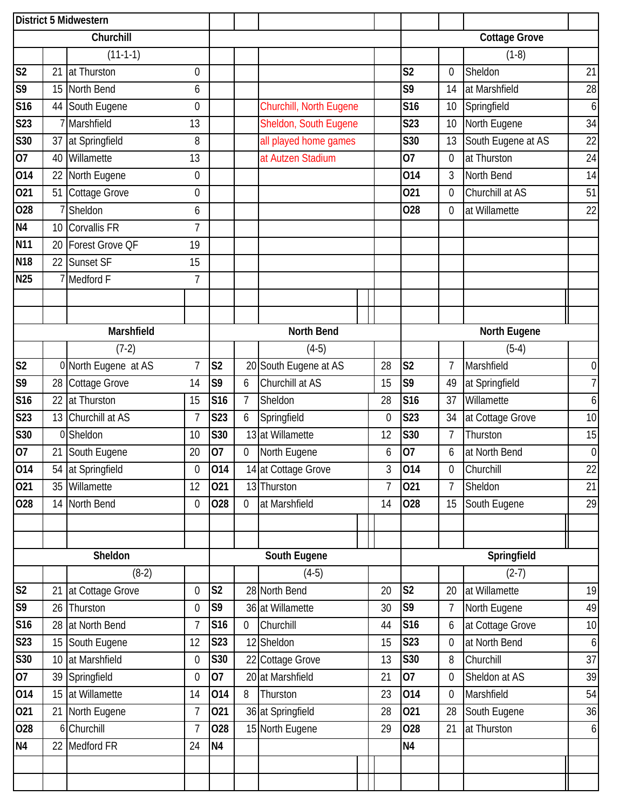|                        | District 5 Midwestern |                      |                  |                |   |                         |                |                        |                  |                      |                  |
|------------------------|-----------------------|----------------------|------------------|----------------|---|-------------------------|----------------|------------------------|------------------|----------------------|------------------|
|                        |                       | Churchill            |                  |                |   |                         |                |                        |                  | <b>Cottage Grove</b> |                  |
|                        |                       | $(11-1-1)$           |                  |                |   |                         |                |                        |                  | $(1-8)$              |                  |
| S <sub>2</sub>         | 21                    | at Thurston          | $\overline{0}$   |                |   |                         |                | S <sub>2</sub>         | 0                | Sheldon              | 21               |
| S <sub>9</sub>         | 15                    | North Bend           | 6                |                |   |                         |                | S9                     | 14               | at Marshfield        | 28               |
| S16                    | 44                    | South Eugene         | $\mathbf 0$      |                |   | Churchill, North Eugene |                | <b>S16</b>             | 10               | Springfield          | 6                |
| S <sub>23</sub>        |                       | Marshfield           | 13               |                |   | Sheldon, South Eugene   |                | <b>S23</b>             | 10               | North Eugene         | 34               |
| S30                    | 37                    | at Springfield       | 8                |                |   | all played home games   |                | <b>S30</b>             | 13               | South Eugene at AS   | 22               |
| $\overline{07}$        | 40                    | Willamette           | 13               |                |   | at Autzen Stadium       |                | 07                     | 0                | at Thurston          | 24               |
| 014                    | 22                    | North Eugene         | $\mathbf 0$      |                |   |                         |                | 014                    | 3                | North Bend           | 14               |
| 021                    | 51                    | Cottage Grove        | $\boldsymbol{0}$ |                |   |                         |                | 021                    | 0                | Churchill at AS      | 51               |
| 028                    |                       | Sheldon              | 6                |                |   |                         |                | 028                    | 0                | at Willamette        | 22               |
| N <sub>4</sub>         | 10                    | Corvallis FR         | $\overline{7}$   |                |   |                         |                |                        |                  |                      |                  |
| <b>N11</b>             | 20                    | Forest Grove QF      | 19               |                |   |                         |                |                        |                  |                      |                  |
| <b>N18</b>             | 22                    | Sunset SF            | 15               |                |   |                         |                |                        |                  |                      |                  |
| <b>N25</b>             |                       | Medford F            | $\overline{7}$   |                |   |                         |                |                        |                  |                      |                  |
|                        |                       |                      |                  |                |   |                         |                |                        |                  |                      |                  |
|                        |                       |                      |                  |                |   |                         |                |                        |                  |                      |                  |
|                        |                       | Marshfield           |                  |                |   | North Bend              |                |                        |                  | North Eugene         |                  |
|                        |                       | $(7-2)$              |                  |                |   | $(4-5)$                 |                |                        |                  | $(5-4)$              |                  |
| S <sub>2</sub>         |                       | 0 North Eugene at AS | $\overline{7}$   | S <sub>2</sub> |   | 20 South Eugene at AS   | 28             | $\overline{\text{S2}}$ | $\overline{7}$   | Marshfield           | $\boldsymbol{0}$ |
| S9                     | 28                    | Cottage Grove        | 14               | S9             | 6 | Churchill at AS         | 15             | S9                     | 49               | at Springfield       | $\overline{I}$   |
| <b>S16</b>             | 22                    | at Thurston          | 15               | S16            | 7 | Sheldon                 | 28             | <b>S16</b>             | 37               | Willamette           | 6                |
| S23                    | 13                    | Churchill at AS      | $\overline{7}$   | S23            | 6 | Springfield             | 0              | <b>S23</b>             | 34               | at Cottage Grove     | 10               |
| S30                    |                       | 0 Sheldon            | 10               | <b>S30</b>     |   | 13 at Willamette        | 12             | S30                    | $\overline{7}$   | Thurston             | 15               |
| $\overline{07}$        | 21                    | South Eugene         | 20               | 07             | 0 | North Eugene            | 6              | 07                     | 6                | at North Bend        | $\boldsymbol{0}$ |
| 014                    |                       | 54 at Springfield    | $\boldsymbol{0}$ | 014            |   | 14 at Cottage Grove     | 3              | 014                    | $\boldsymbol{0}$ | Churchill            | 22               |
| 021                    |                       | 35 Willamette        | 12               | 021            |   | 13 Thurston             | $\overline{7}$ | 021                    | $\overline{7}$   | Sheldon              | 21               |
| 028                    | 14                    | North Bend           | $\overline{0}$   | 028            | 0 | at Marshfield           | 14             | 028                    | 15               | South Eugene         | 29               |
|                        |                       |                      |                  |                |   |                         |                |                        |                  |                      |                  |
|                        |                       |                      |                  |                |   |                         |                |                        |                  |                      |                  |
|                        |                       | Sheldon              |                  |                |   | South Eugene            |                |                        |                  | Springfield          |                  |
|                        |                       | $(8-2)$              |                  |                |   | $(4-5)$                 |                |                        |                  | $(2-7)$              |                  |
| $\overline{\text{S2}}$ | 21                    | at Cottage Grove     | $\overline{0}$   | S <sub>2</sub> |   | 28 North Bend           | 20             | S <sub>2</sub>         | 20               | at Willamette        | 19               |
| S <sub>9</sub>         | 26                    | Thurston             | $\overline{0}$   | S9             |   | 36 at Willamette        | 30             | S <sub>9</sub>         | $\overline{7}$   | North Eugene         | 49               |
| S16                    | 28                    | at North Bend        | $\overline{1}$   | S16            | 0 | Churchill               | 44             | S <sub>16</sub>        | 6                | at Cottage Grove     | 10               |
| S <sub>23</sub>        | 15                    | South Eugene         | 12               | S23            |   | 12 Sheldon              | 15             | <b>S23</b>             | 0                | at North Bend        | $\boldsymbol{6}$ |
| S30                    | 10                    | at Marshfield        | $\mathbf 0$      | S30            |   | 22 Cottage Grove        | 13             | S30                    | 8                | Churchill            | 37               |
| 07                     | 39                    | Springfield          | $\mathbf 0$      | 07             |   | 20 at Marshfield        | 21             | 07                     | 0                | Sheldon at AS        | 39               |
| 014                    | 15                    | at Willamette        | 14               | 014            | 8 | Thurston                | 23             | 014                    | 0                | Marshfield           | 54               |
| 021                    | 21                    | North Eugene         | $\overline{1}$   | 021            |   | 36 at Springfield       | 28             | 021                    | 28               | South Eugene         | 36               |
| 028                    |                       | 6 Churchill          | $\overline{7}$   | 028            |   | 15 North Eugene         | 29             | 028                    | 21               | at Thurston          | $\boldsymbol{6}$ |
| N <sub>4</sub>         | 22                    | Medford FR           | 24               | <b>N4</b>      |   |                         |                | <b>N4</b>              |                  |                      |                  |
|                        |                       |                      |                  |                |   |                         |                |                        |                  |                      |                  |
|                        |                       |                      |                  |                |   |                         |                |                        |                  |                      |                  |
|                        |                       |                      |                  |                |   |                         |                |                        |                  |                      |                  |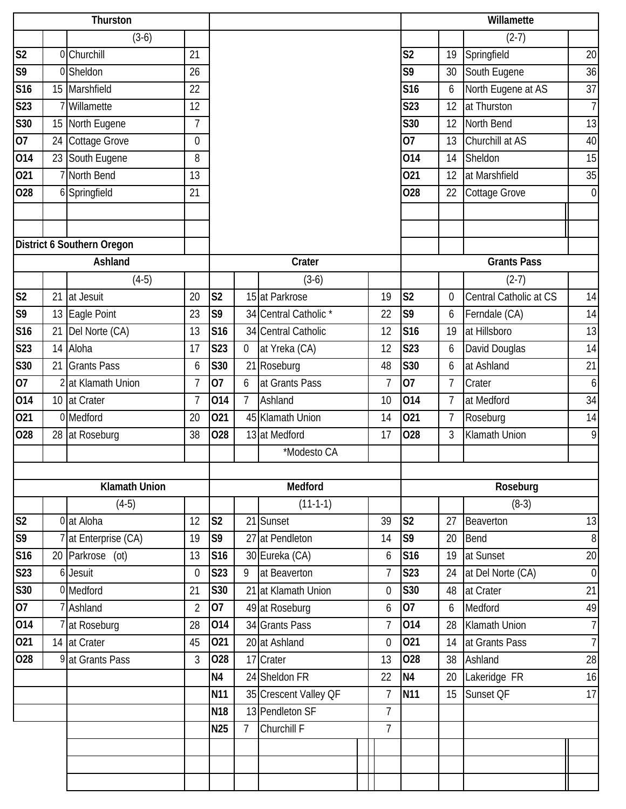|                 |    | Thurston                   |                |                 |                |                       |                  |                 |                | Willamette             |                |
|-----------------|----|----------------------------|----------------|-----------------|----------------|-----------------------|------------------|-----------------|----------------|------------------------|----------------|
|                 |    | $(3-6)$                    |                |                 |                |                       |                  |                 |                | $(2-7)$                |                |
| S <sub>2</sub>  |    | 0 Churchill                | 21             |                 |                |                       |                  | S <sub>2</sub>  | 19             | Springfield            | 20             |
| S9              |    | 0 Sheldon                  | 26             |                 |                |                       |                  | S9              | 30             | South Eugene           | 36             |
| S16             |    | 15 Marshfield              | 22             |                 |                |                       |                  | <b>S16</b>      | 6              | North Eugene at AS     | 37             |
| S23             |    | Willamette                 | 12             |                 |                |                       |                  | <b>S23</b>      | 12             | at Thurston            | 7 <sup>1</sup> |
| S30             | 15 | North Eugene               | $\overline{7}$ |                 |                |                       |                  | S30             | 12             | North Bend             | 13             |
| 07              |    | 24 Cottage Grove           | $\overline{0}$ |                 |                |                       |                  | $\overline{07}$ | 13             | Churchill at AS        | 40             |
| 014             |    | 23 South Eugene            | 8              |                 |                |                       |                  | 014             | 14             | Sheldon                | 15             |
| 021             |    | North Bend                 | 13             |                 |                |                       |                  | 021             | 12             | at Marshfield          | 35             |
| 028             |    | 6 Springfield              | 21             |                 |                |                       |                  | 028             | 22             | Cottage Grove          | $\overline{0}$ |
|                 |    |                            |                |                 |                |                       |                  |                 |                |                        |                |
|                 |    |                            |                |                 |                |                       |                  |                 |                |                        |                |
|                 |    | District 6 Southern Oregon |                |                 |                |                       |                  |                 |                |                        |                |
|                 |    | Ashland                    |                |                 |                | Crater                |                  |                 |                | <b>Grants Pass</b>     |                |
|                 |    | $(4-5)$                    |                |                 |                | $(3-6)$               |                  |                 |                | $(2-7)$                |                |
| S <sub>2</sub>  | 21 | at Jesuit                  | 20             | S <sub>2</sub>  |                | 15 at Parkrose        | 19               | S <sub>2</sub>  | 0              | Central Catholic at CS | 14             |
| S9              | 13 | Eagle Point                | 23             | S9              |                | 34 Central Catholic * | 22               | S <sub>9</sub>  | 6              | Ferndale (CA)          | 14             |
| S16             | 21 | Del Norte (CA)             | 13             | S16             |                | 34 Central Catholic   | 12               | <b>S16</b>      | 19             | at Hillsboro           | 13             |
| <b>S23</b>      | 14 | Aloha                      | 17             | S23             | $\mathbf 0$    | at Yreka (CA)         | 12               | <b>S23</b>      | 6              | David Douglas          | 14             |
| S30             | 21 | <b>Grants Pass</b>         | 6              | <b>S30</b>      |                | 21 Roseburg           | 48               | S30             | 6              | at Ashland             | 21             |
| 07              |    | 2 at Klamath Union         | $\overline{1}$ | 07              | 6              | at Grants Pass        | $\overline{7}$   | $\overline{07}$ | $\overline{7}$ | Crater                 | $6 \mid$       |
| 014             |    | 10 at Crater               | $\overline{7}$ | 014             | $\overline{7}$ | Ashland               | 10               | 014             | $\overline{7}$ | at Medford             | 34             |
| 021             |    | 0 Medford                  | 20             | 021             |                | 45 Klamath Union      | 14               | 021             |                | Roseburg               | 14             |
| 028             |    | 28 at Roseburg             | 38             | 028             |                | 13 at Medford         | 17               | 028             | 3              | <b>Klamath Union</b>   | 9              |
|                 |    |                            |                |                 |                | *Modesto CA           |                  |                 |                |                        |                |
|                 |    |                            |                |                 |                |                       |                  |                 |                |                        |                |
|                 |    | <b>Klamath Union</b>       |                |                 |                | Medford               |                  |                 |                | Roseburg               |                |
|                 |    | $(4-5)$                    |                |                 |                | $(11-1-1)$            |                  |                 |                | $(8-3)$                |                |
| S <sub>2</sub>  |    | 0 at Aloha                 | 12             | S <sub>2</sub>  |                | 21 Sunset             | 39               | S <sub>2</sub>  | 27             | Beaverton              | 13             |
| S <sub>9</sub>  |    | 7 at Enterprise (CA)       | 19             | S <sub>9</sub>  |                | 27 at Pendleton       | 14               | S <sub>9</sub>  | 20             | Bend                   | 8 <sup>°</sup> |
| <b>S16</b>      |    | 20 Parkrose (ot)           | 13             | S <sub>16</sub> |                | 30 Eureka (CA)        | 6                | S <sub>16</sub> | 19             | at Sunset              | 20             |
| S <sub>23</sub> |    | 6 Jesuit                   | $\overline{0}$ | <b>S23</b>      | 9              | at Beaverton          | 7                | <b>S23</b>      | 24             | at Del Norte (CA)      | $\mathbf 0$    |
| <b>S30</b>      |    | 0 Medford                  | 21             | S30             |                | 21 at Klamath Union   | 0                | S30             | 48             | at Crater              | 21             |
| 07              |    | Ashland                    | $\overline{2}$ | 07              |                | 49 at Roseburg        | 6                | 07              | 6              | Medford                | 49             |
| 014             |    | at Roseburg                | 28             | 014             |                | 34 Grants Pass        | $\overline{7}$   | 014             | 28             | Klamath Union          | $\overline{7}$ |
| 021             |    | 14 at Crater               | 45             | 021             |                | 20 at Ashland         | $\boldsymbol{0}$ | 021             | 14             | at Grants Pass         | 7 <sup>1</sup> |
| 028             |    | 9 at Grants Pass           | 3              | 028             |                | 17 Crater             | 13               | 028             | 38             | Ashland                | 28             |
|                 |    |                            |                | N <sub>4</sub>  |                | 24 Sheldon FR         | 22               | <b>N4</b>       | 20             | Lakeridge FR           | 16             |
|                 |    |                            |                | N <sub>11</sub> |                | 35 Crescent Valley OF | 7                | N <sub>11</sub> | 15             | Sunset QF              | 17             |
|                 |    |                            |                | <b>N18</b>      |                | 13 Pendleton SF       | 7                |                 |                |                        |                |
|                 |    |                            |                | <b>N25</b>      | $\overline{7}$ | Churchill F           | $\overline{7}$   |                 |                |                        |                |
|                 |    |                            |                |                 |                |                       |                  |                 |                |                        |                |
|                 |    |                            |                |                 |                |                       |                  |                 |                |                        |                |
|                 |    |                            |                |                 |                |                       |                  |                 |                |                        |                |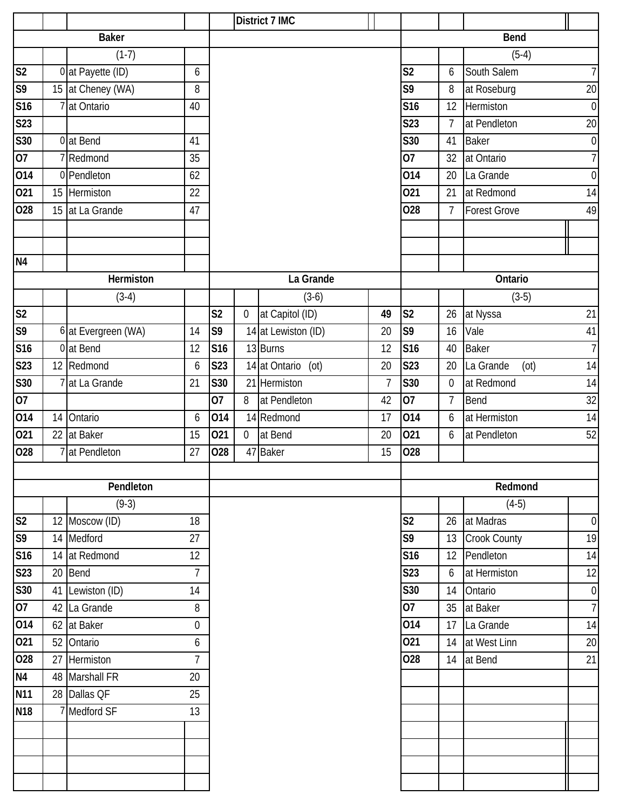|                |    |                     |                |                |                  | District 7 IMC        |                |                |                |                     |                  |
|----------------|----|---------------------|----------------|----------------|------------------|-----------------------|----------------|----------------|----------------|---------------------|------------------|
|                |    | <b>Baker</b>        |                |                |                  |                       |                |                |                | <b>Bend</b>         |                  |
|                |    | $(1-7)$             |                |                |                  |                       |                |                |                | $(5-4)$             |                  |
| S <sub>2</sub> |    | 0 at Payette (ID)   | 6              |                |                  |                       |                | S <sub>2</sub> | 6              | South Salem         | $\overline{1}$   |
| S <sub>9</sub> |    | 15 at Cheney (WA)   | 8              |                |                  |                       |                | S9             | 8              | at Roseburg         | $\overline{20}$  |
| S16            |    | 7 at Ontario        | 40             |                |                  |                       |                | <b>S16</b>     | 12             | Hermiston           | $\mathbf 0$      |
| S23            |    |                     |                |                |                  |                       |                | <b>S23</b>     | $\overline{7}$ | at Pendleton        | 20               |
| S30            |    | 0 at Bend           | 41             |                |                  |                       |                | <b>S30</b>     | 41             | <b>Baker</b>        | $\mathbf 0$      |
| 07             |    | 7Redmond            | 35             |                |                  |                       |                | 07             | 32             | at Ontario          | $\overline{7}$   |
| 014            |    | 0 Pendleton         | 62             |                |                  |                       |                | 014            | 20             | La Grande           | $\mathbf 0$      |
| 021            |    | 15 Hermiston        | 22             |                |                  |                       |                | 021            | 21             | at Redmond          | 14               |
| 028            |    | 15 at La Grande     | 47             |                |                  |                       |                | 028            | $\overline{7}$ | <b>Forest Grove</b> | 49               |
|                |    |                     |                |                |                  |                       |                |                |                |                     |                  |
|                |    |                     |                |                |                  |                       |                |                |                |                     |                  |
| N <sub>4</sub> |    |                     |                |                |                  |                       |                |                |                |                     |                  |
|                |    | Hermiston           |                |                |                  | La Grande             |                |                |                | Ontario             |                  |
|                |    | $(3-4)$             |                |                |                  | $(3-6)$               |                |                |                | $(3-5)$             |                  |
| S <sub>2</sub> |    |                     |                | S <sub>2</sub> | $\boldsymbol{0}$ | at Capitol (ID)       | 49             | S <sub>2</sub> | 26             | at Nyssa            | 21               |
| S <sub>9</sub> |    | 6 at Evergreen (WA) | 14             | S9             |                  | 14 at Lewiston (ID)   | 20             | S9             | 16             | Vale                | 41               |
| S16            |    | 0 at Bend           | 12             | S16            |                  | 13 Burns              | 12             | <b>S16</b>     | 40             | <b>Baker</b>        | $\overline{1}$   |
| S23            |    | 12 Redmond          | 6              | <b>S23</b>     |                  | 14 at Ontario<br>(ot) | 20             | <b>S23</b>     | 20             | La Grande<br>(ot)   | 14               |
| S30            |    | at La Grande        | 21             | S30            |                  | 21 Hermiston          | $\overline{7}$ | S30            | $\overline{0}$ | at Redmond          | 14               |
| 07             |    |                     |                | 07             | 8                | at Pendleton          | 42             | 07             | $\overline{7}$ | Bend                | 32               |
| 014            |    | 14 Ontario          | 6              | 014            |                  | 14 Redmond            | 17             | 014            | 6              | at Hermiston        | 14               |
| 021            |    | 22 at Baker         | 15             | 021            | $\overline{0}$   | at Bend               | 20             | 021            | 6              | at Pendleton        | 52               |
| 028            |    | 7 at Pendleton      | 27             | 028            | 47               | <b>Baker</b>          | 15             | 028            |                |                     |                  |
|                |    |                     |                |                |                  |                       |                |                |                |                     |                  |
|                |    | Pendleton           |                |                |                  |                       |                |                |                | Redmond             |                  |
|                |    | $(9-3)$             |                |                |                  |                       |                |                |                | $(4-5)$             |                  |
| S <sub>2</sub> |    | 12 Moscow (ID)      | 18             |                |                  |                       |                | S <sub>2</sub> | 26             | at Madras           | $\boldsymbol{0}$ |
| S <sub>9</sub> |    | 14 Medford          | 27             |                |                  |                       |                | S9             | 13             | Crook County        | 19               |
| S16            |    | 14 at Redmond       | 12             |                |                  |                       |                | S16            | 12             | Pendleton           | 14               |
| S23            |    | 20 Bend             | $\overline{7}$ |                |                  |                       |                | <b>S23</b>     | 6              | at Hermiston        | 12               |
| S30            |    | 41 Lewiston (ID)    | 14             |                |                  |                       |                | S30            | 14             | Ontario             | $\boldsymbol{0}$ |
| 07             |    | 42 La Grande        | 8              |                |                  |                       |                | 07             | 35             | at Baker            | $\overline{1}$   |
| 014            |    | 62 at Baker         | 0              |                |                  |                       |                | 014            | 17             | La Grande           | 14               |
| 021            |    | 52 Ontario          | 6              |                |                  |                       |                | 021            | 14             | at West Linn        | 20               |
| 028            | 27 | Hermiston           | $\overline{7}$ |                |                  |                       |                | 028            | 14             | at Bend             | 21               |
| N <sub>4</sub> |    | 48 Marshall FR      | 20             |                |                  |                       |                |                |                |                     |                  |
| <b>N11</b>     |    | 28 Dallas QF        | 25             |                |                  |                       |                |                |                |                     |                  |
| <b>N18</b>     |    | 7 Medford SF        | 13             |                |                  |                       |                |                |                |                     |                  |
|                |    |                     |                |                |                  |                       |                |                |                |                     |                  |
|                |    |                     |                |                |                  |                       |                |                |                |                     |                  |
|                |    |                     |                |                |                  |                       |                |                |                |                     |                  |
|                |    |                     |                |                |                  |                       |                |                |                |                     |                  |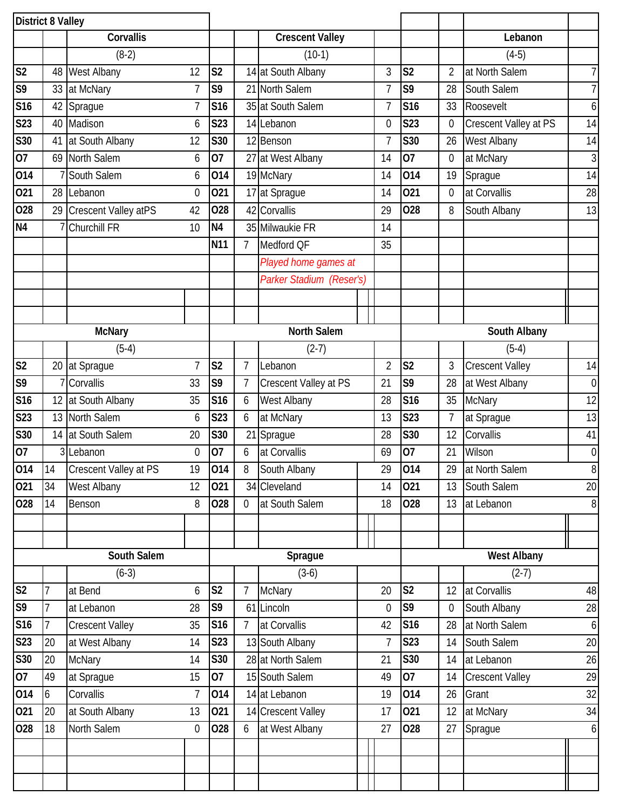|                           | <b>District 8 Valley</b> |                             |                |                |                |                          |                |                |                |                        |                  |
|---------------------------|--------------------------|-----------------------------|----------------|----------------|----------------|--------------------------|----------------|----------------|----------------|------------------------|------------------|
|                           |                          | Corvallis                   |                |                |                | <b>Crescent Valley</b>   |                |                |                | Lebanon                |                  |
|                           |                          | $(8-2)$                     |                |                |                | $(10-1)$                 |                |                |                | $(4-5)$                |                  |
| S <sub>2</sub>            |                          | 48 West Albany              | 12             | S <sub>2</sub> |                | 14 at South Albany       | 3              | S <sub>2</sub> | $\overline{2}$ | at North Salem         | $\overline{7}$   |
| S <sub>9</sub>            | 33                       | at McNary                   | 7              | S9             |                | 21 North Salem           | 7              | S9             | 28             | South Salem            | $\overline{7}$   |
| S <sub>16</sub>           | 42                       | Sprague                     | $\overline{1}$ | S16            |                | 35 at South Salem        | 7              | <b>S16</b>     | 33             | Roosevelt              | $\boldsymbol{6}$ |
| S23                       | 40                       | Madison                     | 6              | S23            |                | 14 Lebanon               | 0              | <b>S23</b>     | 0              | Crescent Valley at PS  | 14               |
| S30                       | 41                       | at South Albany             | 12             | S30            |                | 12 Benson                | 7              | <b>S30</b>     | 26             | West Albany            | 14               |
| 07                        |                          | 69 North Salem              | 6              | 07             |                | 27 at West Albany        | 14             | 07             | $\overline{0}$ | at McNary              | $\mathfrak{Z}$   |
| 014                       |                          | 7 South Salem               | 6              | 014            |                | 19 McNary                | 14             | 014            | 19             | Sprague                | 14               |
| 021                       |                          | 28 Lebanon                  | $\overline{0}$ | 021            |                | 17 at Sprague            | 14             | 021            | $\overline{0}$ | at Corvallis           | 28               |
| 028                       | 29                       | <b>Crescent Valley atPS</b> | 42             | 028            |                | 42 Corvallis             | 29             | 028            | 8              | South Albany           | 13               |
| N <sub>4</sub>            |                          | <b>Churchill FR</b>         | 10             | N <sub>4</sub> |                | 35 Milwaukie FR          | 14             |                |                |                        |                  |
|                           |                          |                             |                | N11            | $\overline{7}$ | Medford QF               | 35             |                |                |                        |                  |
|                           |                          |                             |                |                |                | Played home games at     |                |                |                |                        |                  |
|                           |                          |                             |                |                |                | Parker Stadium (Reser's) |                |                |                |                        |                  |
|                           |                          |                             |                |                |                |                          |                |                |                |                        |                  |
|                           |                          |                             |                |                |                |                          |                |                |                |                        |                  |
|                           |                          | <b>McNary</b>               |                |                |                | <b>North Salem</b>       |                |                |                | South Albany           |                  |
|                           |                          | $(5-4)$                     |                |                |                | $(2-7)$                  |                |                |                | $(5-4)$                |                  |
| $\overline{\text{S2}}$    | 20                       | at Sprague                  | $\overline{1}$ | S <sub>2</sub> | $\overline{7}$ | Lebanon                  | $\overline{2}$ | S <sub>2</sub> | 3              | <b>Crescent Valley</b> | 14               |
| $\overline{\mathsf{S}^9}$ |                          | 7 Corvallis                 | 33             | S9             | $\overline{7}$ | Crescent Valley at PS    | 21             | S9             | 28             | at West Albany         | $\overline{0}$   |
| S <sub>16</sub>           |                          | 12 at South Albany          | 35             | S16            | 6              | West Albany              | 28             | <b>S16</b>     | 35             | <b>McNary</b>          | 12               |
| S23                       | 13                       | North Salem                 | 6              | S23            | 6              | at McNary                | 13             | <b>S23</b>     | 7              | at Sprague             | 13               |
| S30                       |                          | 14 at South Salem           | 20             | S30            |                | 21 Sprague               | 28             | <b>S30</b>     | 12             | Corvallis              | 41               |
| 07                        |                          | 3 Lebanon                   | $\overline{0}$ | 07             | 6              | at Corvallis             | 69             | 07             | 21             | Wilson                 | $\boldsymbol{0}$ |
| 014                       | 14                       | Crescent Valley at PS       | 19             | 014            | 8              | South Albany             | 29             | 014            | 29             | at North Salem         | $\infty$         |
| 021                       | 34                       | West Albany                 | 12             | 021            |                | 34 Cleveland             | 14             | 021            | 13             | South Salem            | 20               |
| 028                       | 14                       | Benson                      | 8              | 028            | $\overline{0}$ | at South Salem           | 18             | 028            | 13             | at Lebanon             | 8                |
|                           |                          |                             |                |                |                |                          |                |                |                |                        |                  |
|                           |                          |                             |                |                |                |                          |                |                |                |                        |                  |
|                           |                          | South Salem                 |                |                |                | Sprague                  |                |                |                | <b>West Albany</b>     |                  |
|                           |                          | $(6-3)$                     |                |                |                | $(3-6)$                  |                |                |                | $(2-7)$                |                  |
| S <sub>2</sub>            | $\overline{7}$           | at Bend                     | 6              | S <sub>2</sub> | $\overline{7}$ | <b>McNary</b>            | 20             | S <sub>2</sub> | 12             | at Corvallis           | 48               |
| $\overline{\mathsf{S}^9}$ | $\overline{1}$           | at Lebanon                  | 28             | S9             | 61             | Lincoln                  | $\overline{0}$ | S <sub>9</sub> | $\Omega$       | South Albany           | 28               |
| S16                       | $\overline{7}$           | <b>Crescent Valley</b>      | 35             | S16            | $\overline{7}$ | at Corvallis             | 42             | S16            | 28             | at North Salem         | $\overline{6}$   |
| S <sub>23</sub>           | 20                       | at West Albany              | 14             | <b>S23</b>     |                | 13 South Albany          | $\overline{7}$ | S23            | 14             | South Salem            | 20               |
| <b>S30</b>                | 20                       | <b>McNary</b>               | 14             | S30            |                | 28 at North Salem        | 21             | <b>S30</b>     | 14             | at Lebanon             | 26               |
| 07                        | 49                       | at Sprague                  | 15             | 07             |                | 15 South Salem           | 49             | 07             | 14             | <b>Crescent Valley</b> | 29               |
| 014                       | 6                        | Corvallis                   | 7              | 014            |                | 14 at Lebanon            | 19             | 014            | 26             | Grant                  | 32               |
| 021                       | 20                       | at South Albany             | 13             | 021            |                | 14 Crescent Valley       | 17             | 021            | 12             | at McNary              | 34               |
| 028                       | 18                       | North Salem                 | $\theta$       | 028            | 6              | at West Albany           | 27             | 028            | 27             | Sprague                | 6                |
|                           |                          |                             |                |                |                |                          |                |                |                |                        |                  |
|                           |                          |                             |                |                |                |                          |                |                |                |                        |                  |
|                           |                          |                             |                |                |                |                          |                |                |                |                        |                  |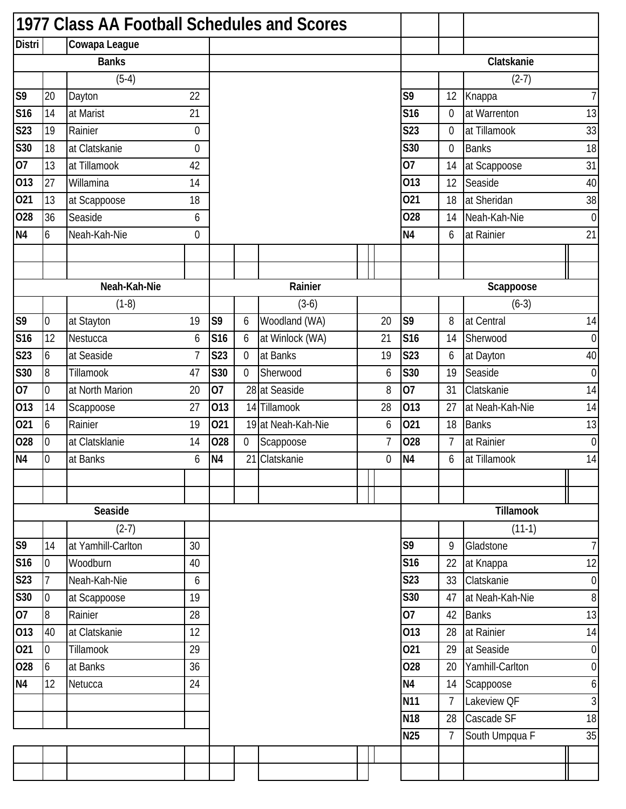|                           |                  | 1977 Class AA Football Schedules and Scores |                |                |                |                    |                |                 |                |                 |                  |
|---------------------------|------------------|---------------------------------------------|----------------|----------------|----------------|--------------------|----------------|-----------------|----------------|-----------------|------------------|
| <b>Distri</b>             |                  | Cowapa League                               |                |                |                |                    |                |                 |                |                 |                  |
|                           |                  | <b>Banks</b>                                |                |                |                |                    |                |                 |                | Clatskanie      |                  |
|                           |                  | $(5-4)$                                     |                |                |                |                    |                |                 |                | $(2-7)$         |                  |
| S <sub>9</sub>            | 20               | Dayton                                      | 22             |                |                |                    |                | S9              | 12             | Knappa          | 7                |
| S16                       | 14               | at Marist                                   | 21             |                |                |                    |                | S16             | 0              | at Warrenton    | 13               |
| <b>S23</b>                | 19               | Rainier                                     | $\mathbf 0$    |                |                |                    |                | <b>S23</b>      | 0              | at Tillamook    | 33               |
| S30                       | 18               | at Clatskanie                               | $\mathbf 0$    |                |                |                    |                | S30             | $\mathbf 0$    | <b>Banks</b>    | 18               |
| 07                        | 13               | at Tillamook                                | 42             |                |                |                    |                | 07              | 14             | at Scappoose    | 31               |
| 013                       | 27               | Willamina                                   | 14             |                |                |                    |                | 013             | 12             | Seaside         | 40               |
| $\overline{021}$          | 13               | at Scappoose                                | 18             |                |                |                    |                | 021             | 18             | at Sheridan     | 38               |
| 028                       | 36               | Seaside                                     | 6              |                |                |                    |                | 028             | 14             | Neah-Kah-Nie    | $\boldsymbol{0}$ |
| N <sub>4</sub>            | 6                | Neah-Kah-Nie                                | $\overline{0}$ |                |                |                    |                | N <sub>4</sub>  | 6              | at Rainier      | 21               |
|                           |                  |                                             |                |                |                |                    |                |                 |                |                 |                  |
|                           |                  |                                             |                |                |                |                    |                |                 |                |                 |                  |
|                           |                  | Neah-Kah-Nie                                |                |                |                | Rainier            |                |                 |                | Scappoose       |                  |
|                           |                  | $(1-8)$                                     |                |                |                | $(3-6)$            |                |                 |                | $(6-3)$         |                  |
| $\overline{\mathsf{S}^9}$ | $\boldsymbol{0}$ | at Stayton                                  | 19             | S <sub>9</sub> | 6              | Woodland (WA)      | 20             | S <sub>9</sub>  | 8              | at Central      | 14               |
| S <sub>16</sub>           | 12               | Nestucca                                    | 6              | S16            | 6              | at Winlock (WA)    | 21             | S <sub>16</sub> | 14             | Sherwood        | $\overline{0}$   |
| S <sub>23</sub>           | 6                | at Seaside                                  | $\overline{7}$ | <b>S23</b>     | $\overline{0}$ | at Banks           | 19             | S23             | 6              | at Dayton       | 40               |
| S30                       | 8                | Tillamook                                   | 47             | S30            | $\mathbf 0$    | Sherwood           | 6              | S30             | 19             | Seaside         | $\mathbf 0$      |
| 07                        | $\overline{0}$   | at North Marion                             | 20             | 07             |                | 28 at Seaside      | 8              | 07              | 31             | Clatskanie      | 14               |
| 013                       | 14               | Scappoose                                   | 27             | 013            |                | 14 Tillamook       | 28             | 013             | 27             | at Neah-Kah-Nie | 14               |
| 021                       | 6                | Rainier                                     | 19             | 021            |                | 19 at Neah-Kah-Nie | 6              | 021             | 18             | <b>Banks</b>    | 13               |
| 028                       | $\overline{0}$   | at Clatsklanie                              | 14             | 028            | $\overline{0}$ | Scappoose          | $\overline{7}$ | 028             | 7              | at Rainier      | $\overline{0}$   |
| N <sub>4</sub>            | $\overline{0}$   | at Banks                                    | 6              | N <sub>4</sub> | 21             | Clatskanie         | 0              | N <sub>4</sub>  | 6              | at Tillamook    | 14               |
|                           |                  |                                             |                |                |                |                    |                |                 |                |                 |                  |
|                           |                  |                                             |                |                |                |                    |                |                 |                |                 |                  |
|                           |                  | Seaside                                     |                |                |                |                    |                |                 |                | Tillamook       |                  |
|                           |                  | $(2-7)$                                     |                |                |                |                    |                |                 |                | $(11-1)$        |                  |
| $\overline{\mathcal{S}}$  | 14               | at Yamhill-Carlton                          | 30             |                |                |                    |                | S9              | 9              | Gladstone       | 7 <sup>1</sup>   |
| S16                       | $\overline{0}$   | Woodburn                                    | 40             |                |                |                    |                | <b>S16</b>      | 22             | at Knappa       | 12               |
| S <sub>23</sub>           | $\overline{7}$   | Neah-Kah-Nie                                | 6              |                |                |                    |                | <b>S23</b>      | 33             | Clatskanie      | $\overline{0}$   |
| S30                       | $\overline{0}$   | at Scappoose                                | 19             |                |                |                    |                | <b>S30</b>      | 47             | at Neah-Kah-Nie | 8                |
| 07                        | 8                | Rainier                                     | 28             |                |                |                    |                | 07              | 42             | <b>Banks</b>    | 13               |
| 013                       | 40               | at Clatskanie                               | 12             |                |                |                    |                | 013             | 28             | at Rainier      | 14               |
| 021                       | $\overline{0}$   | Tillamook                                   | 29             |                |                |                    |                | 021             | 29             | at Seaside      | $\overline{0}$   |
| 028                       | 6                | at Banks                                    | 36             |                |                |                    |                | 028             | 20             | Yamhill-Carlton | $\overline{0}$   |
| N <sub>4</sub>            | 12               | Netucca                                     | 24             |                |                |                    |                | N <sub>4</sub>  | 14             | Scappoose       | $6 \mid$         |
|                           |                  |                                             |                |                |                |                    |                | N <sub>11</sub> | $\overline{7}$ | Lakeview QF     | 3                |
|                           |                  |                                             |                |                |                |                    |                | <b>N18</b>      | 28             | Cascade SF      | 18               |
|                           |                  |                                             |                |                |                |                    |                | <b>N25</b>      | $\overline{7}$ | South Umpqua F  | 35               |
|                           |                  |                                             |                |                |                |                    |                |                 |                |                 |                  |
|                           |                  |                                             |                |                |                |                    |                |                 |                |                 |                  |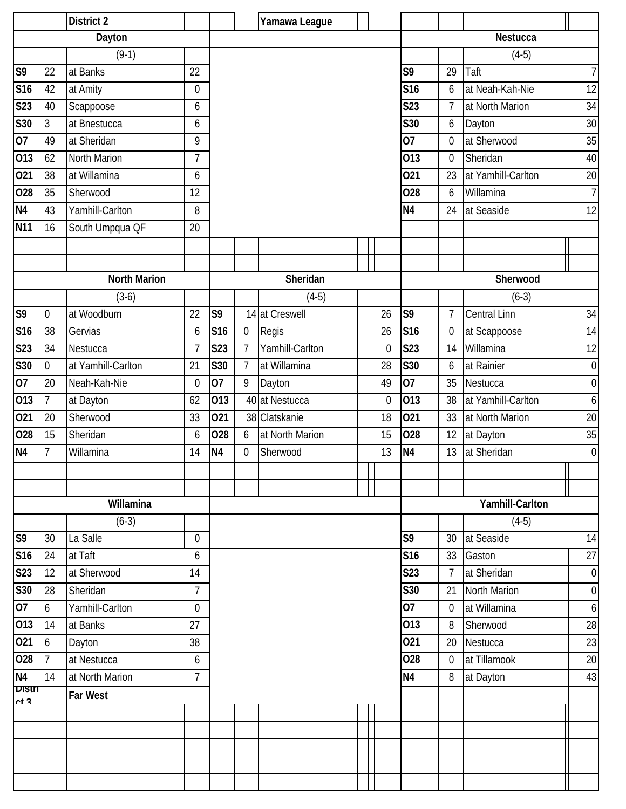|                     |                | <b>District 2</b>   |                |                |                  | Yamawa League   |                |                 |                |                     |                  |
|---------------------|----------------|---------------------|----------------|----------------|------------------|-----------------|----------------|-----------------|----------------|---------------------|------------------|
|                     |                | Dayton              |                |                |                  |                 |                |                 |                | Nestucca            |                  |
|                     |                | $(9-1)$             |                |                |                  |                 |                |                 |                | $(4-5)$             |                  |
| S9                  | 22             | at Banks            | 22             |                |                  |                 |                | S9              | 29             | Taft                | 7                |
| <b>S16</b>          | 42             | at Amity            | $\mathbf 0$    |                |                  |                 |                | <b>S16</b>      | 6              | at Neah-Kah-Nie     | 12               |
| S23                 | 40             | Scappoose           | 6              |                |                  |                 |                | <b>S23</b>      | 7              | at North Marion     | 34               |
| S30                 | 3              | at Bnestucca        | 6              |                |                  |                 |                | <b>S30</b>      | 6              | Dayton              | 30               |
| 07                  | 49             | at Sheridan         | 9              |                |                  |                 |                | 07              | $\overline{0}$ | at Sherwood         | 35               |
| 013                 | 62             | North Marion        | $\overline{1}$ |                |                  |                 |                | 013             | $\mathbf 0$    | Sheridan            | 40               |
| 021                 | 38             | at Willamina        | 6              |                |                  |                 |                | 021             | 23             | at Yamhill-Carlton  | 20               |
| 028                 | 35             | Sherwood            | 12             |                |                  |                 |                | 028             | 6              | Willamina           | $\overline{1}$   |
| N <sub>4</sub>      | 43             | Yamhill-Carlton     | 8              |                |                  |                 |                | N <sub>4</sub>  | 24             | at Seaside          | 12               |
| <b>N11</b>          | 16             | South Umpqua QF     | 20             |                |                  |                 |                |                 |                |                     |                  |
|                     |                |                     |                |                |                  |                 |                |                 |                |                     |                  |
|                     |                |                     |                |                |                  |                 |                |                 |                |                     |                  |
|                     |                | <b>North Marion</b> |                |                |                  | Sheridan        |                |                 |                | Sherwood            |                  |
|                     |                | $(3-6)$             |                |                |                  | $(4-5)$         |                |                 |                | $(6-3)$             |                  |
| S9                  | $\mathbf 0$    | at Woodburn         | 22             | S <sub>9</sub> |                  | 14 at Creswell  | 26             | S <sub>9</sub>  | $\overline{7}$ | <b>Central Linn</b> | 34               |
| <b>S16</b>          | 38             | Gervias             | 6              | S16            | $\boldsymbol{0}$ | Regis           | 26             | <b>S16</b>      | $\mathbf 0$    | at Scappoose        | 14               |
| S <sub>23</sub>     | 34             | Nestucca            | $\overline{1}$ | S23            | $\overline{7}$   | Yamhill-Carlton | $\overline{0}$ | <b>S23</b>      | 14             | Willamina           | 12               |
| S30                 | $\mathbf 0$    | at Yamhill-Carlton  | 21             | S30            | $\overline{7}$   | at Willamina    | 28             | S30             | 6              | at Rainier          | $\overline{0}$   |
| 07                  | 20             | Neah-Kah-Nie        | $\overline{0}$ | 07             | 9                | Dayton          | 49             | 07              | 35             | Nestucca            | $\overline{0}$   |
| 013                 | $\overline{7}$ | at Dayton           | 62             | 013            |                  | 40 at Nestucca  | $\overline{0}$ | 013             | 38             | at Yamhill-Carlton  | 6                |
| 021                 | 20             | Sherwood            | 33             | 021            |                  | 38 Clatskanie   | 18             | 021             | 33             | at North Marion     | 20               |
| 028                 | 15             | Sheridan            | 6              | 028            | 6                | at North Marion | 15             | 028             | 12             | at Dayton           | 35               |
| N <sub>4</sub>      | $\overline{7}$ | Willamina           | 14             | N <sub>4</sub> | 0                | Sherwood        | 13             | N <sub>4</sub>  | 13             | at Sheridan         | $\overline{0}$   |
|                     |                |                     |                |                |                  |                 |                |                 |                |                     |                  |
|                     |                |                     |                |                |                  |                 |                |                 |                |                     |                  |
|                     |                | Willamina           |                |                |                  |                 |                |                 |                | Yamhill-Carlton     |                  |
|                     |                | $(6-3)$             |                |                |                  |                 |                |                 |                | $(4-5)$             |                  |
| S9                  | 30             | La Salle            | $\overline{0}$ |                |                  |                 |                | S9              | 30             | at Seaside          | 14               |
| <b>S16</b>          | 24             | at Taft             | 6              |                |                  |                 |                | S <sub>16</sub> | 33             | Gaston              | 27               |
| <b>S23</b>          | 12             | at Sherwood         | 14             |                |                  |                 |                | <b>S23</b>      |                | at Sheridan         | $\boldsymbol{0}$ |
| S30                 | 28             | Sheridan            | $\overline{1}$ |                |                  |                 |                | <b>S30</b>      | 21             | North Marion        | $\boldsymbol{0}$ |
| 07                  | 6              | Yamhill-Carlton     | 0              |                |                  |                 |                | 07              | $\overline{0}$ | at Willamina        | 6                |
| 013                 | 14             | at Banks            | 27             |                |                  |                 |                | 013             | 8              | Sherwood            | 28               |
| 021                 | 6              | Dayton              | 38             |                |                  |                 |                | 021             | 20             | Nestucca            | 23               |
| 028                 | $\overline{1}$ | at Nestucca         | 6              |                |                  |                 |                | 028             | $\mathbf 0$    | at Tillamook        | 20               |
| N <sub>4</sub>      | 14             | at North Marion     | $\overline{7}$ |                |                  |                 |                | N <sub>4</sub>  | 8              | at Dayton           | 43               |
| $\overline{D}$ lsin |                | Far West            |                |                |                  |                 |                |                 |                |                     |                  |
| ct <sub>2</sub>     |                |                     |                |                |                  |                 |                |                 |                |                     |                  |
|                     |                |                     |                |                |                  |                 |                |                 |                |                     |                  |
|                     |                |                     |                |                |                  |                 |                |                 |                |                     |                  |
|                     |                |                     |                |                |                  |                 |                |                 |                |                     |                  |
|                     |                |                     |                |                |                  |                 |                |                 |                |                     |                  |
|                     |                |                     |                |                |                  |                 |                |                 |                |                     |                  |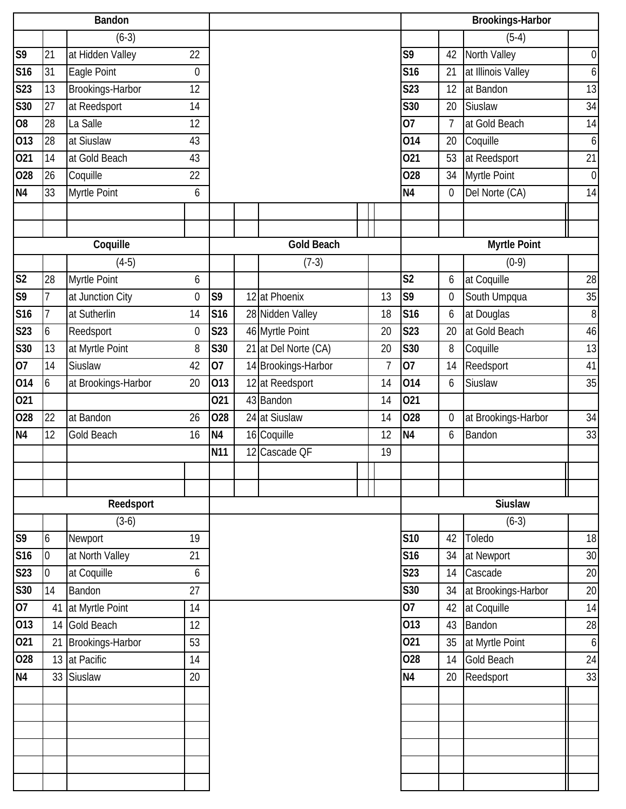|                | <b>Bandon</b>    |                     |                  |                 |  |                      |                |                 | <b>Brookings-Harbor</b> |                     |                  |  |  |
|----------------|------------------|---------------------|------------------|-----------------|--|----------------------|----------------|-----------------|-------------------------|---------------------|------------------|--|--|
|                |                  | $(6-3)$             |                  |                 |  |                      |                |                 |                         | $(5-4)$             |                  |  |  |
| S <sub>9</sub> | 21               | at Hidden Valley    | 22               |                 |  |                      |                | S9              | 42                      | North Valley        | $\mathbf 0$      |  |  |
| S16            | 31               | Eagle Point         | $\boldsymbol{0}$ |                 |  |                      |                | S16             | 21                      | at Illinois Valley  | 6                |  |  |
| <b>S23</b>     | 13               | Brookings-Harbor    | 12               |                 |  |                      |                | S23             | 12                      | at Bandon           | 13               |  |  |
| <b>S30</b>     | 27               | at Reedsport        | 14               |                 |  |                      |                | S30             | 20                      | Siuslaw             | 34               |  |  |
| O <sub>8</sub> | 28               | La Salle            | 12               |                 |  |                      |                | 07              | $\overline{7}$          | at Gold Beach       | 14               |  |  |
| 013            | 28               | at Siuslaw          | 43               |                 |  |                      |                | 014             | 20                      | Coquille            | $\boldsymbol{6}$ |  |  |
| 021            | 14               | at Gold Beach       | 43               |                 |  |                      |                | 021             | 53                      | at Reedsport        | 21               |  |  |
| 028            | 26               | Coquille            | 22               |                 |  |                      |                | 028             | 34                      | Myrtle Point        | $\mathbf 0$      |  |  |
| N <sub>4</sub> | 33               | Myrtle Point        | 6                |                 |  |                      |                | N <sub>4</sub>  | $\mathbf 0$             | Del Norte (CA)      | 14               |  |  |
|                |                  |                     |                  |                 |  |                      |                |                 |                         |                     |                  |  |  |
|                |                  |                     |                  |                 |  |                      |                |                 |                         |                     |                  |  |  |
|                |                  | Coquille            |                  |                 |  | <b>Gold Beach</b>    |                |                 |                         | <b>Myrtle Point</b> |                  |  |  |
|                |                  | $(4-5)$             |                  |                 |  | $(7-3)$              |                |                 |                         | $(0-9)$             |                  |  |  |
| S <sub>2</sub> | 28               | Myrtle Point        | 6                |                 |  |                      |                | S <sub>2</sub>  | 6                       | at Coquille         | 28               |  |  |
| S <sub>9</sub> | $\overline{1}$   | at Junction City    | $\mathbf 0$      | S9              |  | 12 at Phoenix        | 13             | S9              | $\mathbf 0$             | South Umpqua        | 35               |  |  |
| <b>S16</b>     | 7                | at Sutherlin        | 14               | S <sub>16</sub> |  | 28 Nidden Valley     | 18             | S <sub>16</sub> | 6                       | at Douglas          | 8                |  |  |
| S23            | 6                | Reedsport           | $\boldsymbol{0}$ | S23             |  | 46 Myrtle Point      | 20             | <b>S23</b>      | 20                      | at Gold Beach       | 46               |  |  |
| <b>S30</b>     | 13               | at Myrtle Point     | 8                | S30             |  | 21 at Del Norte (CA) | 20             | S30             | 8                       | Coquille            | 13               |  |  |
| 07             | 14               | Siuslaw             | 42               | 07              |  | 14 Brookings-Harbor  | $\overline{1}$ | 07              | 14                      | Reedsport           | 41               |  |  |
| 014            | 6                | at Brookings-Harbor | 20               | 013             |  | 12 at Reedsport      | 14             | 014             | 6                       | Siuslaw             | 35               |  |  |
| 021            |                  |                     |                  | 021             |  | 43 Bandon            | 14             | 021             |                         |                     |                  |  |  |
| 028            | 22               | at Bandon           | 26               | 028             |  | 24 at Siuslaw        | 14             | 028             | $\boldsymbol{0}$        | at Brookings-Harbor | 34               |  |  |
| N <sub>4</sub> | 12               | Gold Beach          | 16               | N <sub>4</sub>  |  | 16 Coquille          | 12             | N4              | 6                       | Bandon              | 33               |  |  |
|                |                  |                     |                  | N11             |  | 12 Cascade QF        | 19             |                 |                         |                     |                  |  |  |
|                |                  |                     |                  |                 |  |                      |                |                 |                         |                     |                  |  |  |
|                |                  |                     |                  |                 |  |                      |                |                 |                         |                     |                  |  |  |
|                |                  | Reedsport           |                  |                 |  |                      |                |                 |                         | <b>Siuslaw</b>      |                  |  |  |
|                |                  | $(3-6)$             |                  |                 |  |                      |                |                 |                         | $(6-3)$             |                  |  |  |
| S <sub>9</sub> | 6                | Newport             | 19               |                 |  |                      |                | <b>S10</b>      | 42                      | Toledo              | 18               |  |  |
| <b>S16</b>     | $\overline{0}$   | at North Valley     | 21               |                 |  |                      |                | S16             | 34                      | at Newport          | $30\,$           |  |  |
| S23            | $\boldsymbol{0}$ | at Coquille         | 6                |                 |  |                      |                | S23             | 14                      | Cascade             | 20               |  |  |
| S30            | 14               | Bandon              | 27               |                 |  |                      |                | S30             | 34                      | at Brookings-Harbor | 20               |  |  |
| 07             | 41               | at Myrtle Point     | 14               |                 |  |                      |                | 07              | 42                      | at Coquille         | 14               |  |  |
| 013            | 14               | Gold Beach          | 12               |                 |  |                      |                | 013             | 43                      | Bandon              | 28               |  |  |
| 021            | 21               | Brookings-Harbor    | 53               |                 |  |                      |                | 021             | 35                      | at Myrtle Point     | $\boldsymbol{6}$ |  |  |
| 028            |                  | 13 at Pacific       | 14               |                 |  |                      |                | 028             | 14                      | <b>Gold Beach</b>   | 24               |  |  |
| N <sub>4</sub> |                  | 33 Siuslaw          | 20               |                 |  |                      |                | N4              | 20                      | Reedsport           | $\overline{33}$  |  |  |
|                |                  |                     |                  |                 |  |                      |                |                 |                         |                     |                  |  |  |
|                |                  |                     |                  |                 |  |                      |                |                 |                         |                     |                  |  |  |
|                |                  |                     |                  |                 |  |                      |                |                 |                         |                     |                  |  |  |
|                |                  |                     |                  |                 |  |                      |                |                 |                         |                     |                  |  |  |
|                |                  |                     |                  |                 |  |                      |                |                 |                         |                     |                  |  |  |
|                |                  |                     |                  |                 |  |                      |                |                 |                         |                     |                  |  |  |
|                |                  |                     |                  |                 |  |                      |                |                 |                         |                     |                  |  |  |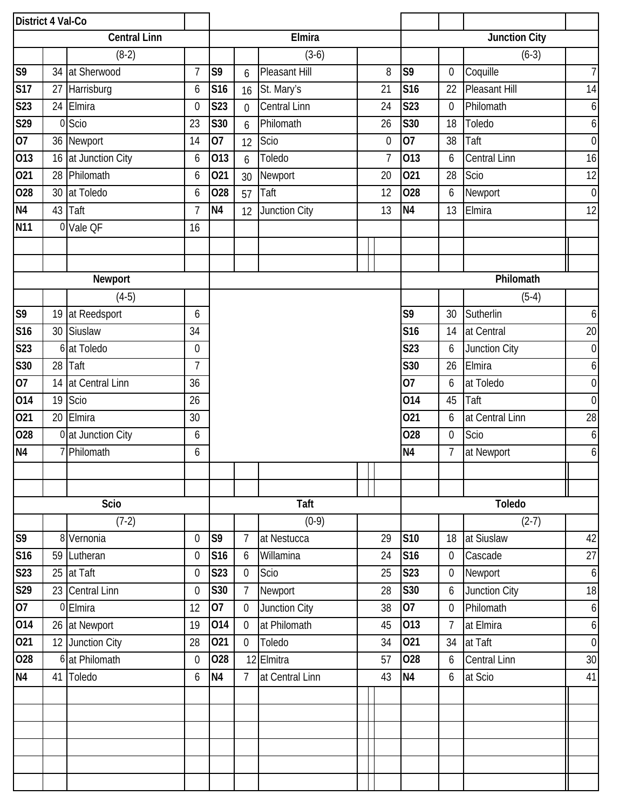| District 4 Val-Co |    |                     |                |                  |                  |                 |                      |                |                 |                |                      |                  |
|-------------------|----|---------------------|----------------|------------------|------------------|-----------------|----------------------|----------------|-----------------|----------------|----------------------|------------------|
|                   |    | <b>Central Linn</b> |                |                  | Elmira           |                 | <b>Junction City</b> |                |                 |                |                      |                  |
|                   |    | $(8-2)$             |                |                  |                  | $(3-6)$         |                      |                |                 |                | $(6-3)$              |                  |
| S9                |    | 34 at Sherwood      | $\overline{1}$ | S9               | 6                | Pleasant Hill   |                      | 8              | S <sub>9</sub>  | $\overline{0}$ | Coquille             | $\overline{7}$   |
| <b>S17</b>        | 27 | Harrisburg          | 6              | S16              | 16               | St. Mary's      |                      | 21             | <b>S16</b>      | 22             | <b>Pleasant Hill</b> | 14               |
| S23               |    | 24 Elmira           | $\overline{0}$ | <b>S23</b>       | $\overline{0}$   | Central Linn    |                      | 24             | <b>S23</b>      | $\overline{0}$ | Philomath            | $\boldsymbol{6}$ |
| S29               |    | 0 Scio              | 23             | S30              | 6                | Philomath       |                      | 26             | S30             | 18             | Toledo               | 6                |
| 07                |    | 36 Newport          | 14             | 07               | 12               | Scio            |                      | $\mathbf 0$    | $\overline{07}$ | 38             | Taft                 | $\boldsymbol{0}$ |
| 013               |    | 16 at Junction City | 6              | 013              | 6                | Toledo          |                      | $\overline{7}$ | 013             | 6              | <b>Central Linn</b>  | 16               |
| 021               |    | 28 Philomath        | 6              | 021              | 30               | Newport         |                      | 20             | 021             | 28             | Scio                 | 12               |
| 028               |    | 30 at Toledo        | 6              | 028              | 57               | Taft            |                      | 12             | 028             | 6              | Newport              | $\boldsymbol{0}$ |
| N <sub>4</sub>    |    | 43 Taft             | $\overline{7}$ | N <sub>4</sub>   | 12               | Junction City   |                      | 13             | N <sub>4</sub>  | 13             | Elmira               | 12               |
| <b>N11</b>        |    | 0 Vale QF           | 16             |                  |                  |                 |                      |                |                 |                |                      |                  |
|                   |    |                     |                |                  |                  |                 |                      |                |                 |                |                      |                  |
|                   |    |                     |                |                  |                  |                 |                      |                |                 |                |                      |                  |
|                   |    | Newport             |                |                  |                  |                 |                      |                |                 |                | Philomath            |                  |
|                   |    | $(4-5)$             |                |                  |                  |                 |                      |                |                 |                | $(5-4)$              |                  |
| S9                | 19 | at Reedsport        | 6              |                  |                  |                 |                      |                | S9              | 30             | Sutherlin            | 6                |
| S <sub>16</sub>   |    | 30 Siuslaw          | 34             |                  |                  |                 |                      |                | <b>S16</b>      | 14             | at Central           | 20               |
| S23               |    | 6 at Toledo         | $\overline{0}$ |                  |                  |                 |                      |                | <b>S23</b>      | 6              | Junction City        | $\boldsymbol{0}$ |
| S30               |    | 28 Taft             | $\overline{7}$ |                  |                  |                 |                      | S30            | 26              | Elmira         | 6                    |                  |
| 07                | 14 | at Central Linn     | 36             |                  | $\overline{07}$  |                 |                      |                |                 |                | at Toledo            | $\boldsymbol{0}$ |
| 014               | 19 | Scio                | 26             |                  |                  |                 |                      | 014            | 45              | Taft           | $\boldsymbol{0}$     |                  |
| 021               | 20 | Elmira              | 30             |                  |                  |                 |                      |                | 021             | 6              | at Central Linn      | 28               |
| 028               |    | 0 at Junction City  | 6              |                  |                  |                 |                      |                | 028             | $\overline{0}$ | Scio                 | 6                |
| N <sub>4</sub>    |    | 7 Philomath         | 6              |                  |                  |                 |                      |                | N <sub>4</sub>  | $\overline{7}$ | at Newport           | 6                |
|                   |    |                     |                |                  |                  |                 | $\mathbf{I}$         |                |                 |                |                      |                  |
|                   |    |                     |                |                  |                  |                 |                      |                |                 |                |                      |                  |
|                   |    | Scio                |                |                  | Taft             |                 | Toledo               |                |                 |                |                      |                  |
|                   |    | $(7-2)$             |                |                  |                  | $(0-9)$         |                      |                |                 |                | $(2-7)$              |                  |
| S <sub>9</sub>    |    | 8 Vernonia          | $\overline{0}$ | S9               | $\overline{7}$   | at Nestucca     |                      | 29             | <b>S10</b>      | 18             | at Siuslaw           | 42               |
| <b>S16</b>        |    | 59 Lutheran         | $\mathbf 0$    | S16              | 6                | Willamina       |                      | 24             | <b>S16</b>      | $\mathbf 0$    | Cascade              | 27               |
| S23               |    | 25 at Taft          | $\mathbf 0$    | <b>S23</b>       | $\boldsymbol{0}$ | Scio            |                      | 25             | <b>S23</b>      | $\overline{0}$ | Newport              | $\boldsymbol{6}$ |
| S29               |    | 23 Central Linn     | $\mathbf{0}$   | S30              | $\overline{7}$   | Newport         |                      | 28             | S30             | 6              | Junction City        | 18               |
| 07                |    | 0 Elmira            | 12             | 07               | $\boldsymbol{0}$ | Junction City   |                      | 38             | 07              | $\overline{0}$ | Philomath            | 6                |
| 014               |    | 26 at Newport       | 19             | 014              | $\mathbf 0$      | at Philomath    |                      | 45             | 013             | $\overline{7}$ | at Elmira            | $\boldsymbol{6}$ |
| 021               |    | 12 Junction City    | 28             | $\overline{0}21$ | $\boldsymbol{0}$ | Toledo          |                      | 34             | 021             | 34             | at Taft              | $\boldsymbol{0}$ |
| $\overline{O}28$  |    | 6 at Philomath      | $\overline{0}$ | 028              |                  | 12 Elmitra      |                      | 57             | 028             | 6              | <b>Central Linn</b>  | 30               |
| N <sub>4</sub>    |    | 41 Toledo           | 6              | N <sub>4</sub>   | $\overline{7}$   | at Central Linn |                      | 43             | <b>N4</b>       | 6              | at Scio              | 41               |
|                   |    |                     |                |                  |                  |                 |                      |                |                 |                |                      |                  |
|                   |    |                     |                |                  |                  |                 |                      |                |                 |                |                      |                  |
|                   |    |                     |                |                  |                  |                 |                      |                |                 |                |                      |                  |
|                   |    |                     |                |                  |                  |                 |                      |                |                 |                |                      |                  |
|                   |    |                     |                |                  |                  |                 |                      |                |                 |                |                      |                  |
|                   |    |                     |                |                  |                  |                 |                      |                |                 |                |                      |                  |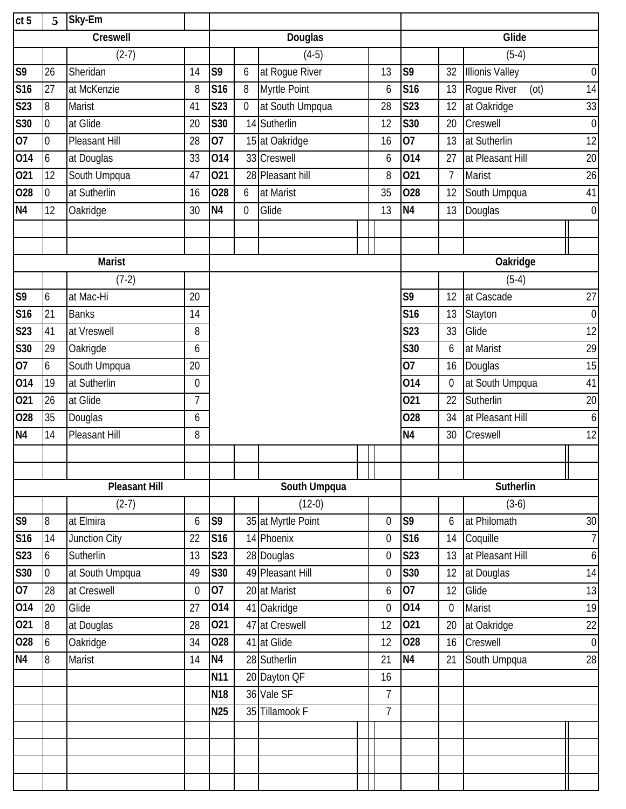| ct <sub>5</sub> | 5                | Sky-Em               |                |                |                |                    |              |                  |                 |                |                        |                  |
|-----------------|------------------|----------------------|----------------|----------------|----------------|--------------------|--------------|------------------|-----------------|----------------|------------------------|------------------|
|                 |                  | Creswell             |                |                |                | Douglas            |              | Glide            |                 |                |                        |                  |
|                 |                  | $(2-7)$              |                |                |                | $(4-5)$            |              |                  |                 |                | $(5-4)$                |                  |
| S <sub>9</sub>  | 26               | Sheridan             | 14             | S9             | 6              | at Rogue River     |              | 13               | S9              | 32             | <b>Illionis Valley</b> | $\boldsymbol{0}$ |
| <b>S16</b>      | 27               | at McKenzie          | 8              | S16            | 8              | Myrtle Point       |              | 6                | S <sub>16</sub> | 13             | Rogue River<br>(ot)    | 14               |
| <b>S23</b>      | 8                | <b>Marist</b>        | 41             | <b>S23</b>     | $\mathbf 0$    | at South Umpqua    |              | 28               | <b>S23</b>      | 12             | at Oakridge            | 33               |
| S30             | $\overline{0}$   | at Glide             | 20             | <b>S30</b>     |                | 14 Sutherlin       |              | 12               | <b>S30</b>      | 20             | Creswell               | $\boldsymbol{0}$ |
| 07              | $\mathbf 0$      | Pleasant Hill        | 28             | 07             |                | 15 at Oakridge     |              | 16               | 07              | 13             | at Sutherlin           | 12               |
| 014             | 6                | at Douglas           | 33             | 014            |                | 33 Creswell        |              | 6                | 014             | 27             | at Pleasant Hill       | 20               |
| 021             | 12               | South Umpqua         | 47             | 021            |                | 28 Pleasant hill   |              | 8                | 021             | $\overline{7}$ | Marist                 | 26               |
| 028             | $\mathbf 0$      | at Sutherlin         | 16             | 028            | 6              | at Marist          |              | 35               | 028             | 12             | South Umpqua           | 41               |
| N <sub>4</sub>  | 12               | <b>Oakridge</b>      | 30             | N <sub>4</sub> | $\overline{0}$ | Glide              |              | 13               | N <sub>4</sub>  | 13             | Douglas                | $\boldsymbol{0}$ |
|                 |                  |                      |                |                |                |                    |              |                  |                 |                |                        |                  |
|                 |                  |                      |                |                |                |                    |              |                  |                 |                |                        |                  |
|                 |                  | <b>Marist</b>        |                |                |                |                    |              |                  |                 |                | Oakridge               |                  |
|                 |                  | $(7-2)$              |                |                |                |                    |              |                  |                 |                | $(5-4)$                |                  |
| S <sub>9</sub>  | 6                | at Mac-Hi            | 20             |                |                |                    |              |                  | S9              | 12             | at Cascade             | 27               |
| <b>S16</b>      | 21               | <b>Banks</b>         | 14             |                |                |                    |              |                  | <b>S16</b>      | 13             | Stayton                | $\boldsymbol{0}$ |
| <b>S23</b>      | 41               | at Vreswell          | 8              |                |                |                    |              |                  | <b>S23</b>      | 33             | Glide                  | 12               |
| <b>S30</b>      | 29               | Oakrigde             | 6              |                |                |                    |              |                  | <b>S30</b>      | 6              | at Marist              | 29               |
| 07              | 6                | South Umpqua         | 20             |                |                |                    |              |                  | 07              | 16             | Douglas                | 15               |
| 014             | 19               | at Sutherlin         | $\mathbf 0$    |                |                |                    |              |                  | 014             | $\overline{0}$ | at South Umpqua        | 41               |
| 021             | 26               | at Glide             | $\overline{7}$ |                |                |                    |              |                  | 021             | 22             | Sutherlin              | 20               |
| 028             | 35               | Douglas              | 6              |                |                |                    |              |                  | 028             | 34             | at Pleasant Hill       | $\boldsymbol{6}$ |
| <b>N4</b>       | 14               | Pleasant Hill        | 8              |                |                |                    |              |                  | N <sub>4</sub>  | 30             | Creswell               | 12               |
|                 |                  |                      |                |                |                |                    |              |                  |                 |                |                        |                  |
|                 |                  |                      |                |                |                |                    | $\mathbf{1}$ |                  |                 |                | $\mathbf{\mathbf{H}}$  |                  |
|                 |                  | <b>Pleasant Hill</b> |                |                |                | South Umpqua       |              |                  |                 |                | Sutherlin              |                  |
|                 |                  | $(2-7)$              |                |                |                | $(12-0)$           |              |                  |                 |                | $(3-6)$                |                  |
| S9              | 8                | at Elmira            | 6              | S9             |                | 35 at Myrtle Point |              | $\boldsymbol{0}$ | S <sub>9</sub>  | 6              | at Philomath           | 30               |
| S16             | 14               | Junction City        | 22             | S16            |                | 14 Phoenix         |              | 0                | S <sub>16</sub> | 14             | Coquille               | $\overline{1}$   |
| S23             | 6                | Sutherlin            | 13             | S23            |                | 28 Douglas         |              | $\boldsymbol{0}$ | S23             | 13             | at Pleasant Hill       | $\boldsymbol{6}$ |
| S30             | $\boldsymbol{0}$ | at South Umpqua      | 49             | S30            |                | 49 Pleasant Hill   |              | 0                | S30             | 12             | at Douglas             | 14               |
| 07              | 28               | at Creswell          | $\mathbf 0$    | 07             |                | 20 at Marist       |              | 6                | 07              | 12             | Glide                  | 13               |
| 014             | 20               | Glide                | 27             | 014            |                | 41 Oakridge        |              | $\mathbf 0$      | 014             | $\mathbf 0$    | Marist                 | 19               |
| 021             | 8                | at Douglas           | 28             | 021            |                | 47 at Creswell     |              | 12               | 021             | 20             | at Oakridge            | 22               |
| 028             | 6                | Oakridge             | 34             | 028            |                | 41 at Glide        |              | 12               | 028             | 16             | Creswell               | $\boldsymbol{0}$ |
| N <sub>4</sub>  | 8                | Marist               | 14             | N <sub>4</sub> |                | 28 Sutherlin       |              | 21               | N <sub>4</sub>  | 21             | South Umpqua           | 28               |
|                 |                  |                      |                | N11            |                | 20 Dayton QF       |              | 16               |                 |                |                        |                  |
|                 |                  |                      |                | N18            |                | 36 Vale SF         |              | $\overline{7}$   |                 |                |                        |                  |
|                 |                  |                      |                | <b>N25</b>     |                | 35 Tillamook F     |              | $\overline{7}$   |                 |                |                        |                  |
|                 |                  |                      |                |                |                |                    |              |                  |                 |                |                        |                  |
|                 |                  |                      |                |                |                |                    |              |                  |                 |                |                        |                  |
|                 |                  |                      |                |                |                |                    |              |                  |                 |                |                        |                  |
|                 |                  |                      |                |                |                |                    |              |                  |                 |                |                        |                  |
|                 |                  |                      |                |                |                |                    |              |                  |                 |                |                        |                  |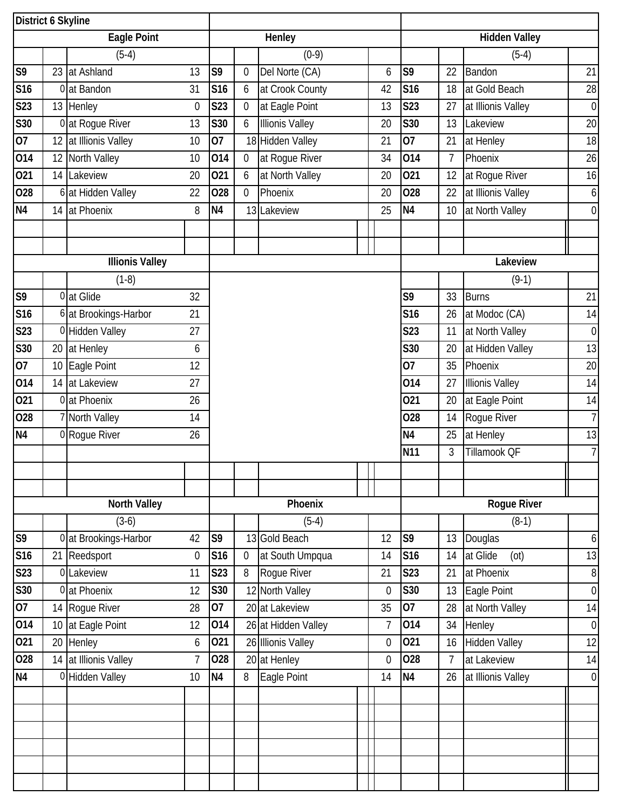| District 6 Skyline |    |                        |                |                |                |                        |                      |                |                 |                |                        |                  |
|--------------------|----|------------------------|----------------|----------------|----------------|------------------------|----------------------|----------------|-----------------|----------------|------------------------|------------------|
|                    |    | <b>Eagle Point</b>     |                |                | Henley         |                        | <b>Hidden Valley</b> |                |                 |                |                        |                  |
|                    |    | $(5-4)$                |                |                |                | $(0-9)$                |                      |                |                 |                | $(5-4)$                |                  |
| S <sub>9</sub>     |    | 23 at Ashland          | 13             | S9             | $\overline{0}$ | Del Norte (CA)         |                      | 6              | S <sub>9</sub>  | 22             | Bandon                 | 21               |
| S16                |    | 0 at Bandon            | 31             | S16            | 6              | at Crook County        |                      | 42             | S <sub>16</sub> | 18             | at Gold Beach          | 28               |
| <b>S23</b>         |    | 13 Henley              | $\mathbf 0$    | <b>S23</b>     | 0              | at Eagle Point         |                      | 13             | <b>S23</b>      | 27             | at Illionis Valley     | $\boldsymbol{0}$ |
| S30                |    | 0 at Rogue River       | 13             | S30            | 6              | <b>Illionis Valley</b> |                      | 20             | S30             | 13             | Lakeview               | 20               |
| 07                 |    | 12 at Illionis Valley  | 10             | 07             |                | 18 Hidden Valley       |                      | 21             | $\overline{07}$ | 21             | at Henley              | 18               |
| 014                | 12 | North Valley           | 10             | 014            | $\mathbf 0$    | at Rogue River         |                      | 34             | 014             | $\overline{7}$ | Phoenix                | 26               |
| 021                |    | 14 Lakeview            | 20             | 021            | 6              | at North Valley        |                      | 20             | 021             | 12             | at Rogue River         | 16               |
| 028                |    | 6 at Hidden Valley     | 22             | 028            | $\mathbf 0$    | Phoenix                |                      | 20             | 028             | 22             | at Illionis Valley     | $\boldsymbol{6}$ |
| N4                 | 14 | at Phoenix             | 8              | N <sub>4</sub> |                | 13 Lakeview            |                      | 25             | N <sub>4</sub>  | 10             | at North Valley        | $\overline{0}$   |
|                    |    |                        |                |                |                |                        |                      |                |                 |                |                        |                  |
|                    |    |                        |                |                |                |                        |                      |                |                 |                |                        |                  |
|                    |    | <b>Illionis Valley</b> |                |                |                |                        |                      |                |                 |                | Lakeview               |                  |
|                    |    | $(1-8)$                |                |                |                |                        |                      |                |                 |                | $(9-1)$                |                  |
| S9                 |    | 0 at Glide             | 32             |                |                |                        |                      |                | S9              | 33             | <b>Burns</b>           | 21               |
| <b>S16</b>         |    | 6 at Brookings-Harbor  | 21             |                |                |                        |                      |                | <b>S16</b>      | 26             | at Modoc (CA)          | 14               |
| S <sub>23</sub>    |    | 0 Hidden Valley        | 27             |                |                |                        |                      |                | <b>S23</b>      | 11             | at North Valley        | $\boldsymbol{0}$ |
| <b>S30</b>         |    | 20 at Henley           | 6              |                |                |                        |                      |                | S30             | 20             | at Hidden Valley       | 13               |
| 07                 | 10 | Eagle Point            | 12             |                |                |                        |                      |                | 07              | 35             | Phoenix                | 20               |
| 014                | 14 | at Lakeview            | 27             |                |                |                        |                      |                | 014             | 27             | <b>Illionis Valley</b> | 14               |
| 021                |    | 0 at Phoenix           | 26             |                |                |                        |                      |                | 021             | 20             | at Eagle Point         | 14               |
| 028                |    | 7 North Valley         | 14             |                |                |                        |                      |                | 028             | 14             | Rogue River            | $\overline{7}$   |
| N <sub>4</sub>     |    | 0 Rogue River          | 26             |                |                |                        |                      |                | N <sub>4</sub>  | 25             | at Henley              | 13               |
|                    |    |                        |                |                |                |                        |                      |                | <b>N11</b>      | 3              | Tillamook QF           | $\overline{7}$   |
|                    |    |                        |                |                |                |                        |                      |                |                 |                |                        |                  |
|                    |    |                        |                |                |                |                        |                      |                |                 |                |                        |                  |
|                    |    | <b>North Valley</b>    |                |                |                | Phoenix                |                      | Rogue River    |                 |                |                        |                  |
|                    |    | $(3-6)$                |                |                |                | $(5-4)$                |                      |                |                 |                | $(8-1)$                |                  |
| S <sub>9</sub>     |    | 0 at Brookings-Harbor  | 42             | S9             |                | 13 Gold Beach          |                      | 12             | S <sub>9</sub>  | 13             | Douglas                | $\boldsymbol{6}$ |
| <b>S16</b>         | 21 | Reedsport              | $\mathbf 0$    | S16            | 0              | at South Umpqua        |                      | 14             | S <sub>16</sub> | 14             | at Glide<br>(ot)       | 13               |
| S <sub>23</sub>    |    | 0 Lakeview             | 11             | S23            | 8              | Rogue River            |                      | 21             | <b>S23</b>      | 21             | at Phoenix             | $\, 8$           |
| <b>S30</b>         |    | 0 at Phoenix           | 12             | S30            |                | 12 North Valley        |                      | 0              | S30             | 13             | Eagle Point            | $\boldsymbol{0}$ |
| 07                 | 14 | Roque River            | 28             | 07             |                | 20 at Lakeview         |                      | 35             | 07              | 28             | at North Valley        | 14               |
| 014                |    | 10 at Eagle Point      | 12             | 014            |                | 26 at Hidden Valley    |                      | $\overline{7}$ | 014             | 34             | Henley                 | $\boldsymbol{0}$ |
| 021                |    | 20 Henley              | 6              | 021            |                | 26 Illionis Valley     |                      | 0              | 021             | 16             | <b>Hidden Valley</b>   | 12               |
| 028                |    | 14 at Illionis Valley  | $\overline{7}$ | 028            |                | 20 at Henley           |                      | 0              | 028             | 7              | at Lakeview            | 14               |
| N <sub>4</sub>     |    | 0 Hidden Valley        | 10             | N <sub>4</sub> | 8              | Eagle Point            |                      | 14             | N <sub>4</sub>  | 26             | at Illionis Valley     | $\boldsymbol{0}$ |
|                    |    |                        |                |                |                |                        |                      |                |                 |                |                        |                  |
|                    |    |                        |                |                |                |                        |                      |                |                 |                |                        |                  |
|                    |    |                        |                |                |                |                        |                      |                |                 |                |                        |                  |
|                    |    |                        |                |                |                |                        |                      |                |                 |                |                        |                  |
|                    |    |                        |                |                |                |                        |                      |                |                 |                |                        |                  |
|                    |    |                        |                |                |                |                        |                      |                |                 |                |                        |                  |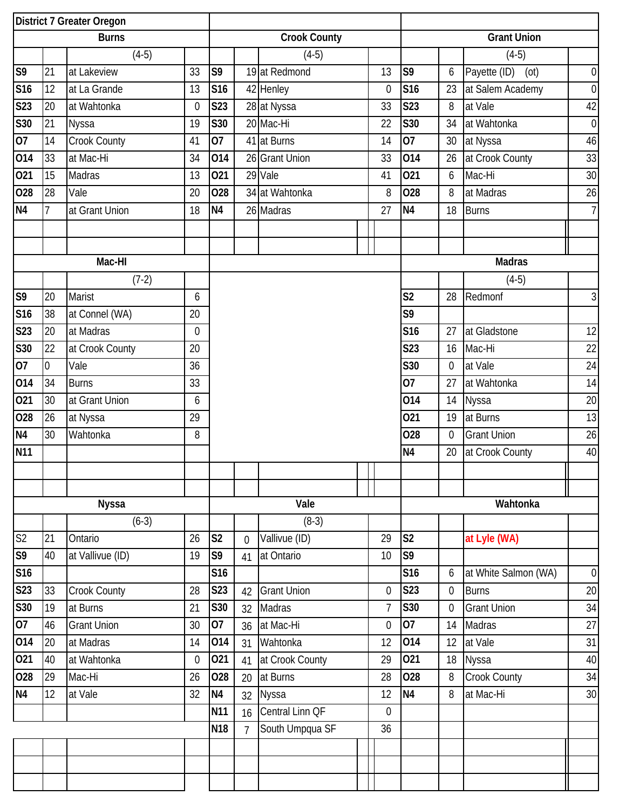| District 7 Greater Oregon |                |                     |                |                  |                |                     |  |                |                    |                |                      |                  |  |  |
|---------------------------|----------------|---------------------|----------------|------------------|----------------|---------------------|--|----------------|--------------------|----------------|----------------------|------------------|--|--|
|                           |                | <b>Burns</b>        |                |                  |                | <b>Crook County</b> |  |                | <b>Grant Union</b> |                |                      |                  |  |  |
|                           |                | $(4-5)$             |                |                  |                | $(4-5)$             |  |                |                    |                | $(4-5)$              |                  |  |  |
| S9                        | 21             | at Lakeview         | 33             | S9               |                | 19 at Redmond       |  | 13             | S <sub>9</sub>     | 6              | Payette (ID)<br>(ot) | $\boldsymbol{0}$ |  |  |
| <b>S16</b>                | 12             | at La Grande        | 13             | S16              |                | 42 Henley           |  | 0              | S <sub>16</sub>    | 23             | at Salem Academy     | $\boldsymbol{0}$ |  |  |
| <b>S23</b>                | 20             | at Wahtonka         | $\mathbf 0$    | <b>S23</b>       |                | 28 at Nyssa         |  | 33             | <b>S23</b>         | 8              | at Vale              | 42               |  |  |
| S30                       | 21             | <b>Nyssa</b>        | 19             | <b>S30</b>       |                | 20 Mac-Hi           |  | 22             | S30                | 34             | at Wahtonka          | $\boldsymbol{0}$ |  |  |
| 07                        | 14             | <b>Crook County</b> | 41             | 07               |                | 41 at Burns         |  | 14             | 07                 | 30             | at Nyssa             | 46               |  |  |
| 014                       | 33             | at Mac-Hi           | 34             | 014              |                | 26 Grant Union      |  | 33             | 014                | 26             | at Crook County      | 33               |  |  |
| 021                       | 15             | Madras              | 13             | 021              |                | 29 Vale             |  | 41             | 021                | 6              | Mac-Hi               | 30               |  |  |
| 028                       | 28             | Vale                | 20             | 028              |                | 34 at Wahtonka      |  | 8              | 028                | 8              | at Madras            | 26               |  |  |
| N <sub>4</sub>            | $\overline{1}$ | at Grant Union      | 18             | N <sub>4</sub>   |                | 26 Madras           |  | 27             | N <sub>4</sub>     | 18             | <b>Burns</b>         | $\overline{7}$   |  |  |
|                           |                |                     |                |                  |                |                     |  |                |                    |                |                      |                  |  |  |
|                           |                |                     |                |                  |                |                     |  |                |                    |                |                      |                  |  |  |
|                           |                | Mac-HI              |                |                  |                |                     |  |                |                    |                | <b>Madras</b>        |                  |  |  |
|                           |                | $(7-2)$             |                |                  |                |                     |  |                |                    |                | $(4-5)$              |                  |  |  |
| S <sub>9</sub>            | 20             | Marist              | 6              |                  |                |                     |  |                | S <sub>2</sub>     | 28             | Redmonf              | $\mathfrak{Z}$   |  |  |
| S16                       | 38             | at Connel (WA)      | 20             |                  |                |                     |  |                | S9                 |                |                      |                  |  |  |
| S23                       | 20             | at Madras           | $\overline{0}$ |                  |                |                     |  |                | <b>S16</b>         | 27             | at Gladstone         | 12               |  |  |
| S30                       | 22             | at Crook County     | 20             |                  |                |                     |  |                | <b>S23</b>         | 16             | Mac-Hi               | 22               |  |  |
| 07                        | $\mathbf 0$    | Vale                | 36             |                  |                |                     |  |                | <b>S30</b>         | $\overline{0}$ | at Vale              | 24               |  |  |
| 014                       | 34             | <b>Burns</b>        | 33             |                  |                |                     |  |                | 07                 | 27             | at Wahtonka          | 14               |  |  |
| 021                       | 30             | at Grant Union      | 6              |                  |                |                     |  |                | 014                | 14             | <b>Nyssa</b>         | 20               |  |  |
| 028                       | 26             | at Nyssa            | 29             |                  |                |                     |  |                | 021                | 19             | at Burns             | 13               |  |  |
| N <sub>4</sub>            | 30             | Wahtonka            | 8              |                  |                |                     |  |                | 028                | $\overline{0}$ | <b>Grant Union</b>   | 26               |  |  |
| <b>N11</b>                |                |                     |                |                  |                |                     |  |                | N <sub>4</sub>     | 20             | at Crook County      | 40               |  |  |
|                           |                |                     |                |                  |                |                     |  |                |                    |                |                      |                  |  |  |
|                           |                |                     |                |                  |                |                     |  |                |                    |                |                      |                  |  |  |
|                           |                | <b>Nyssa</b>        |                |                  |                | Vale                |  |                |                    |                | Wahtonka             |                  |  |  |
|                           |                | $(6-3)$             |                |                  |                | $(8-3)$             |  |                |                    |                |                      |                  |  |  |
| S <sub>2</sub>            | 21             | Ontario             | 26             | S <sub>2</sub>   | $\overline{0}$ | Vallivue (ID)       |  | 29             | S <sub>2</sub>     |                | at Lyle (WA)         |                  |  |  |
| S <sub>9</sub>            | 40             | at Vallivue (ID)    | 19             | S9               | 41             | at Ontario          |  | 10             | S <sub>9</sub>     |                |                      |                  |  |  |
| <b>S16</b>                |                |                     |                | S16              |                |                     |  |                | S16                | 6              | at White Salmon (WA) | $\boldsymbol{0}$ |  |  |
| S <sub>23</sub>           | 33             | <b>Crook County</b> | 28             | <b>S23</b>       | 42             | <b>Grant Union</b>  |  | 0              | S23                | $\overline{0}$ | <b>Burns</b>         | 20               |  |  |
| S30                       | 19             | at Burns            | 21             | $\overline{530}$ | 32             | Madras              |  | $\overline{7}$ | S30                | $\overline{0}$ | <b>Grant Union</b>   | 34               |  |  |
| 07                        | 46             | <b>Grant Union</b>  | 30             | 07               | 36             | at Mac-Hi           |  | $\mathbf 0$    | 07                 | 14             | Madras               | 27               |  |  |
| 014                       | 20             | at Madras           | 14             | 014              | 31             | Wahtonka            |  | 12             | 014                | 12             | at Vale              | 31               |  |  |
| 021                       | 40             | at Wahtonka         | $\mathbf 0$    | 021              | 41             | at Crook County     |  | 29             | 021                | 18             | Nyssa                | 40               |  |  |
| 028                       | 29             | Mac-Hi              | 26             | 028              | 20             | at Burns            |  | 28             | 028                | 8              | Crook County         | 34               |  |  |
| N <sub>4</sub>            | 12             | at Vale             | 32             | N <sub>4</sub>   | 32             | Nyssa               |  | 12             | N <sub>4</sub>     | 8              | at Mac-Hi            | 30               |  |  |
|                           |                |                     |                | <b>N11</b>       | 16             | Central Linn QF     |  | $\mathbf 0$    |                    |                |                      |                  |  |  |
|                           |                |                     |                | <b>N18</b>       | $\overline{7}$ | South Umpqua SF     |  | 36             |                    |                |                      |                  |  |  |
|                           |                |                     |                |                  |                |                     |  |                |                    |                |                      |                  |  |  |
|                           |                |                     |                |                  |                |                     |  |                |                    |                |                      |                  |  |  |
|                           |                |                     |                |                  |                |                     |  |                |                    |                |                      |                  |  |  |
|                           |                |                     |                |                  |                |                     |  |                |                    |                |                      |                  |  |  |